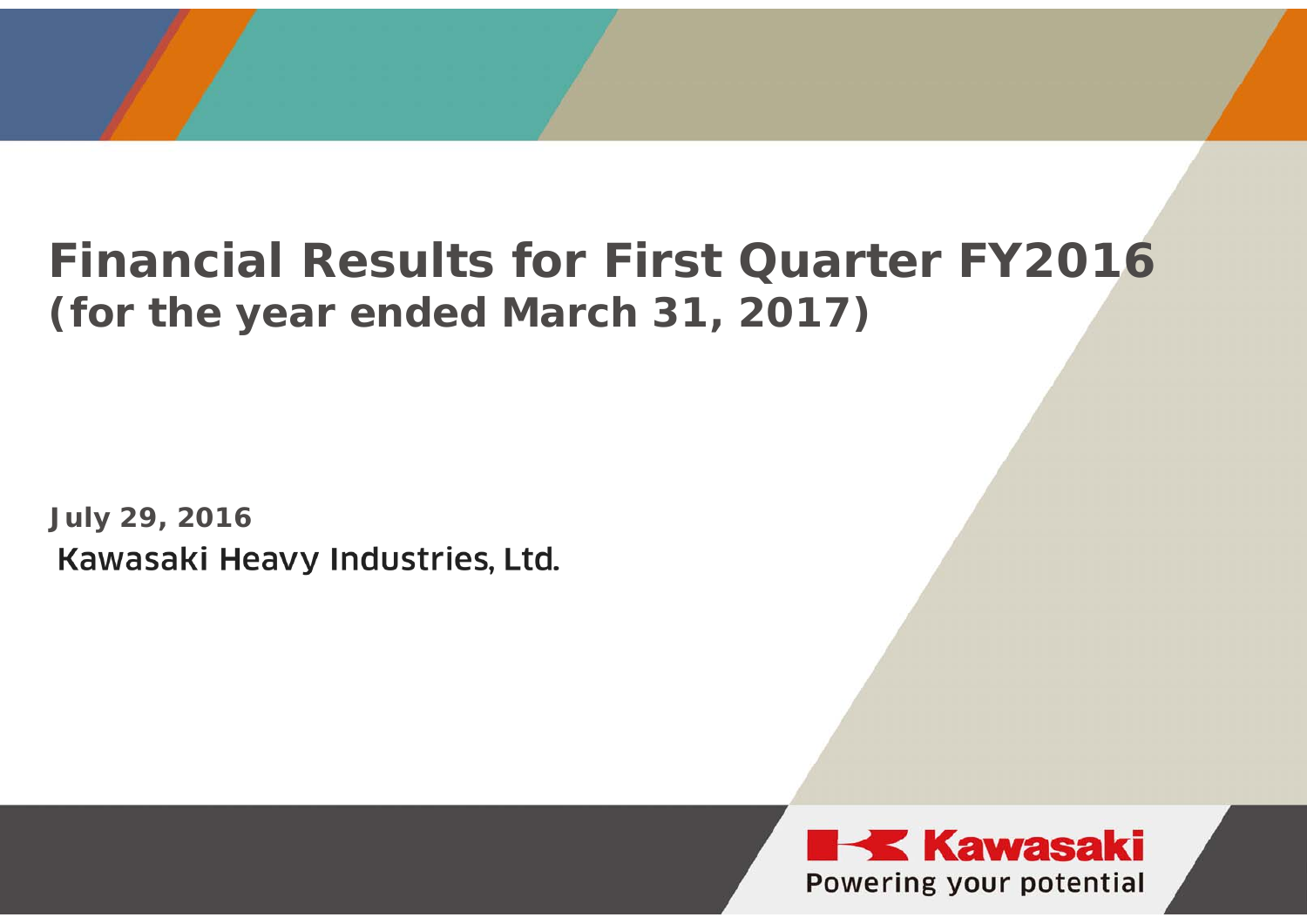## **Financial Results for First Quarter FY2016(for the year ended March 31, 2017)**

**July 29, 2016**Kawasaki Heavy Industries, Ltd.

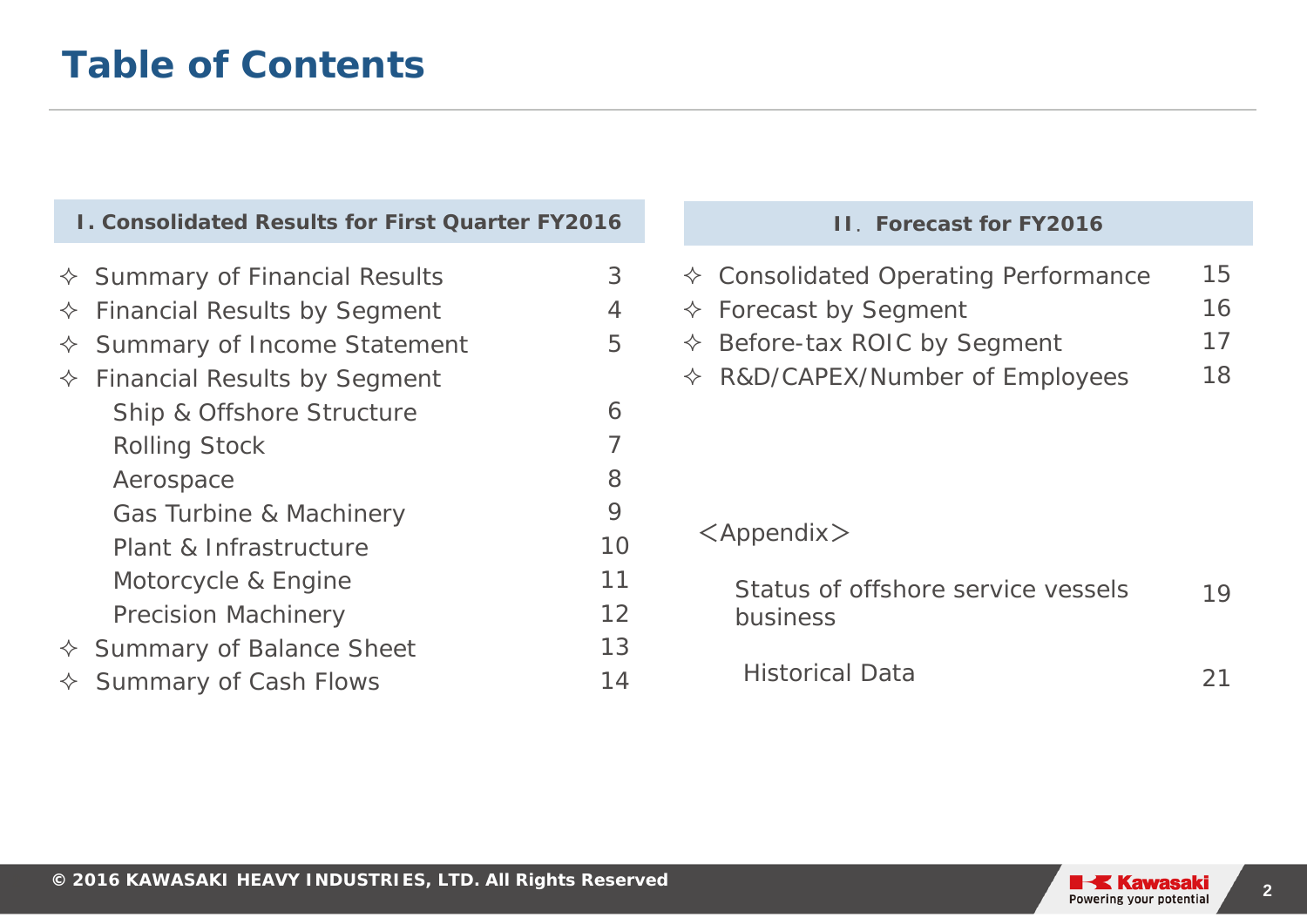| <b>I. Consolidated Results for First Quarter FY2016</b>                                                                                                                                                                                                                                                |                       | <b>II. Forecast for FY2016</b>                                                                                                                                                  |                      |
|--------------------------------------------------------------------------------------------------------------------------------------------------------------------------------------------------------------------------------------------------------------------------------------------------------|-----------------------|---------------------------------------------------------------------------------------------------------------------------------------------------------------------------------|----------------------|
| <b>Summary of Financial Results</b><br>$\leftrightarrow$<br><b>Financial Results by Segment</b><br>$\Leftrightarrow$<br>Summary of Income Statement<br>$\Leftrightarrow$<br><b>Financial Results by Segment</b><br>$\Leftrightarrow$<br>Ship & Offshore Structure<br><b>Rolling Stock</b><br>Aerospace | 3<br>4<br>5<br>6<br>8 | <b>Consolidated Operating Performance</b><br>✧<br>$\Diamond$ Forecast by Segment<br>$\Diamond$ Before-tax ROIC by Segment<br>R&D/CAPEX/Number of Employees<br>$\Leftrightarrow$ | 15<br>16<br>17<br>18 |
| Gas Turbine & Machinery<br>Plant & Infrastructure<br>Motorcycle & Engine<br><b>Precision Machinery</b>                                                                                                                                                                                                 | 9<br>10<br>11<br>12   | $\langle$ Appendix $\rangle$<br>Status of offshore service vessels<br>business                                                                                                  | 19                   |
| <b>Summary of Balance Sheet</b><br>Summary of Cash Flows                                                                                                                                                                                                                                               | 13<br>14              | <b>Historical Data</b>                                                                                                                                                          | 21                   |

### $\diamond$  Summary of Cash Flows

### **II**. **Forecast for FY2016**

| $\Diamond$ Consolidated Operating Performance | 15 |
|-----------------------------------------------|----|
| $\Diamond$ Forecast by Segment                | 16 |
| $\Diamond$ Before-tax ROIC by Segment         | 17 |
| $\Diamond$ R&D/CAPEX/Number of Employees      | 18 |

### <Appendix >

| Status of offshore service vessels | 19 |
|------------------------------------|----|
| business                           |    |
|                                    |    |

**2**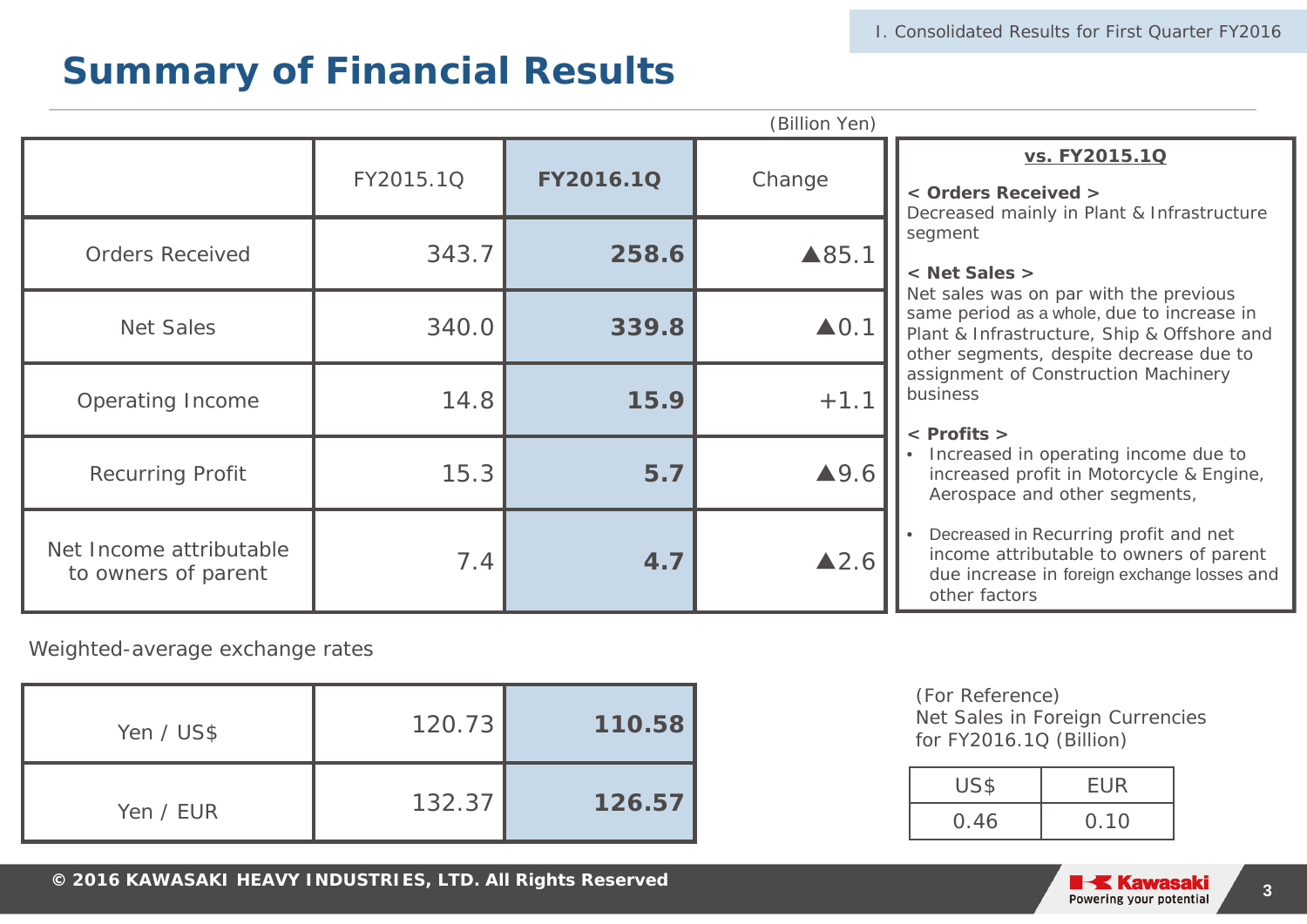|                                                |           |           | (Billion Yen)        |                                                                                                                                                                                                                                                                       |  |  |
|------------------------------------------------|-----------|-----------|----------------------|-----------------------------------------------------------------------------------------------------------------------------------------------------------------------------------------------------------------------------------------------------------------------|--|--|
|                                                |           |           |                      | vs. FY2015.1Q                                                                                                                                                                                                                                                         |  |  |
|                                                | FY2015.1Q | FY2016.1Q | Change               | < Orders Received ><br>Decreased mainly in Plant & Infrastructure                                                                                                                                                                                                     |  |  |
| <b>Orders Received</b>                         | 343.7     | 258.6     | ▲85.1                | segment<br>< Net Sales >                                                                                                                                                                                                                                              |  |  |
| <b>Net Sales</b>                               | 340.0     | 339.8     | $\triangle$ 0.1      | Net sales was on par with the previous<br>same period as a whole, due to increase in<br>Plant & Infrastructure, Ship & Offshore and<br>other segments, despite decrease due to                                                                                        |  |  |
| <b>Operating Income</b>                        | 14.8      | 15.9      | $+1.1$               | assignment of Construction Machinery<br>business<br>$\langle$ Profits $\rangle$                                                                                                                                                                                       |  |  |
| <b>Recurring Profit</b>                        | 15.3      | 5.7       | $\blacktriangle$ 9.6 | Increased in operating income due to<br>increased profit in Motorcycle & Engine,<br>Aerospace and other segments,<br>Decreased in Recurring profit and net<br>income attributable to owners of parent<br>due increase in foreign exchange losses and<br>other factors |  |  |
| Net Income attributable<br>to owners of parent | 7.4       | 4.7       | $\blacktriangle$ 2.6 |                                                                                                                                                                                                                                                                       |  |  |
| Weighted-average exchange rates                |           |           |                      |                                                                                                                                                                                                                                                                       |  |  |
| Yen / US\$                                     | 120.73    | 110.58    |                      | (For Reference)<br>Net Sales in Foreign Currencies<br>for FY2016.1Q (Billion)                                                                                                                                                                                         |  |  |
|                                                |           |           |                      | US\$<br><b>EUR</b>                                                                                                                                                                                                                                                    |  |  |
| Yen / EUR                                      | 132.37    | 126.57    |                      | 0.10<br>0.46                                                                                                                                                                                                                                                          |  |  |

| Yen / US\$ | 120.73 | 110.58 |
|------------|--------|--------|
| Yen / EUR  | 132.37 | 126.57 |

| US\$ | <b>EUR</b> |
|------|------------|
| 0.46 | 0.10       |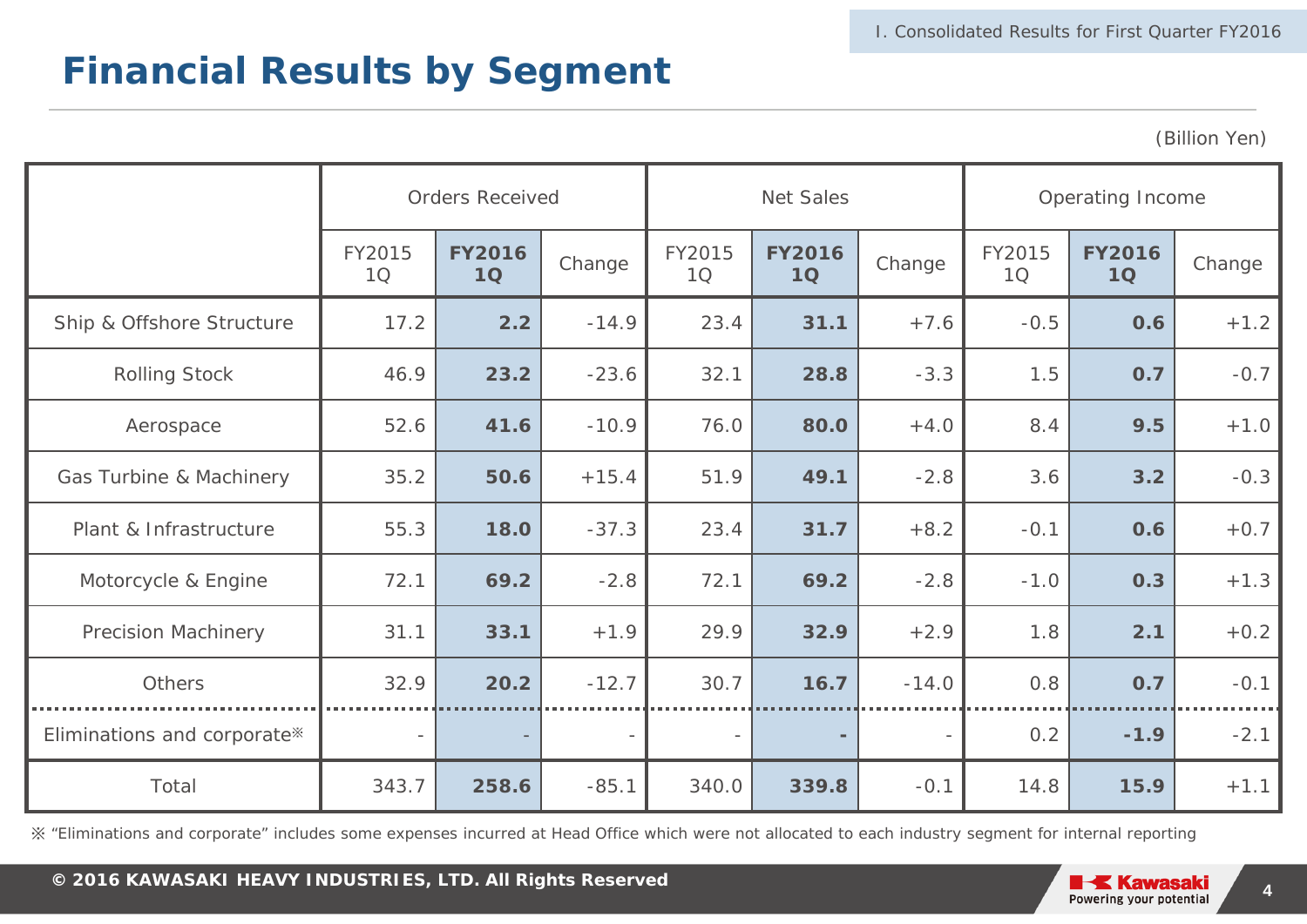### **Financial Results by Segment**

(Billion Yen)

|                                                                                                                                                        |                                                                                                             | <b>Orders Received</b> |         |              | <b>Net Sales</b><br>Operating Income |         |              |                     |        |
|--------------------------------------------------------------------------------------------------------------------------------------------------------|-------------------------------------------------------------------------------------------------------------|------------------------|---------|--------------|--------------------------------------|---------|--------------|---------------------|--------|
|                                                                                                                                                        | FY2015<br>10                                                                                                | <b>FY2016</b><br>1Q    | Change  | FY2015<br>1Q | <b>FY2016</b><br>1Q                  | Change  | FY2015<br>10 | <b>FY2016</b><br>1Q | Change |
| Ship & Offshore Structure                                                                                                                              | 17.2                                                                                                        | 2.2                    | $-14.9$ | 23.4         | 31.1                                 | $+7.6$  | $-0.5$       | 0.6                 | $+1.2$ |
| <b>Rolling Stock</b>                                                                                                                                   | 46.9                                                                                                        | 23.2                   | $-23.6$ | 32.1         | 28.8                                 | $-3.3$  | 1.5          | 0.7                 | $-0.7$ |
| Aerospace                                                                                                                                              | 52.6                                                                                                        | 41.6                   | $-10.9$ | 76.0         | 80.0                                 | $+4.0$  | 8.4          | 9.5                 | $+1.0$ |
| Gas Turbine & Machinery                                                                                                                                | 35.2                                                                                                        | 50.6                   | $+15.4$ | 51.9         | 49.1                                 | $-2.8$  | 3.6          | 3.2                 | $-0.3$ |
| Plant & Infrastructure                                                                                                                                 | 55.3                                                                                                        | 18.0                   | $-37.3$ | 23.4         | 31.7                                 | $+8.2$  | $-0.1$       | 0.6                 | $+0.7$ |
| Motorcycle & Engine                                                                                                                                    | 72.1                                                                                                        | 69.2                   | $-2.8$  | 72.1         | 69.2                                 | $-2.8$  | $-1.0$       | 0.3                 | $+1.3$ |
| <b>Precision Machinery</b>                                                                                                                             | 31.1                                                                                                        | 33.1                   | $+1.9$  | 29.9         | 32.9                                 | $+2.9$  | 1.8          | 2.1                 | $+0.2$ |
| Others                                                                                                                                                 | 32.9                                                                                                        | 20.2                   | $-12.7$ | 30.7         | 16.7                                 | $-14.0$ | 0.8          | 0.7                 | $-0.1$ |
| Eliminations and corporate*                                                                                                                            |                                                                                                             |                        |         | $\bar{ }$    |                                      |         | 0.2          | $-1.9$              | $-2.1$ |
| Total                                                                                                                                                  | 343.7                                                                                                       | 258.6                  | $-85.1$ | 340.0        | 339.8                                | $-0.1$  | 14.8         | 15.9                | $+1.1$ |
| ※ "Eliminations and corporate" includes some expenses incurred at Head Office which were not allocated to each industry segment for internal reporting |                                                                                                             |                        |         |              |                                      |         |              |                     |        |
|                                                                                                                                                        | © 2016 KAWASAKI HEAVY INDUSTRIES, LTD. All Rights Reserved<br><b>IK</b> Kawasaki<br>$\overline{\mathbf{4}}$ |                        |         |              |                                      |         |              |                     |        |

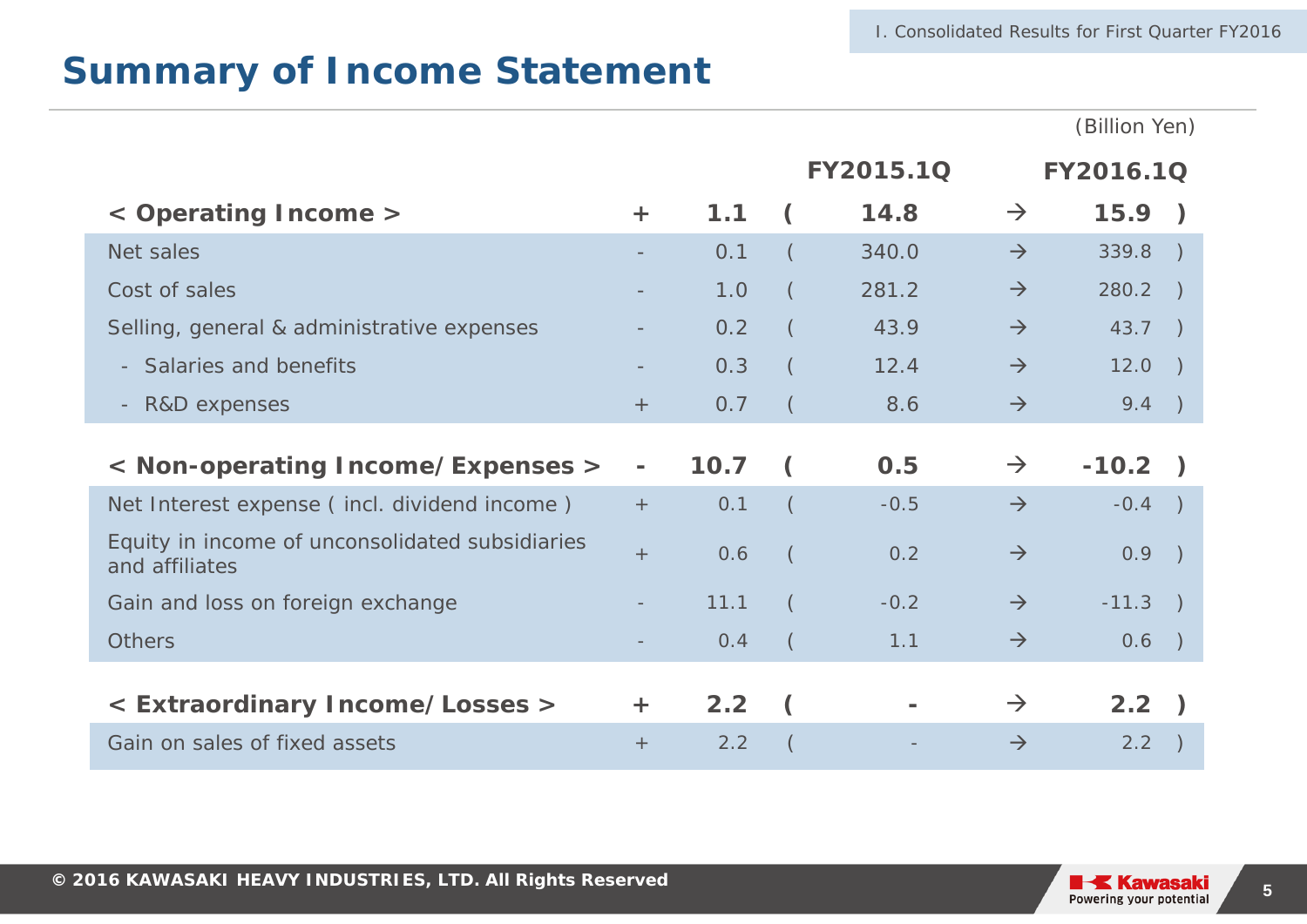|                                                                   |       |      |          |           |               | (Billion Yen)    |               |
|-------------------------------------------------------------------|-------|------|----------|-----------|---------------|------------------|---------------|
|                                                                   |       |      |          | FY2015.1Q |               | <b>FY2016.1Q</b> |               |
| < Operating Income >                                              | $\pm$ | 1.1  |          | 14.8      | $\rightarrow$ | 15.9)            |               |
| Net sales                                                         |       | 0.1  |          | 340.0     | $\rightarrow$ | 339.8            |               |
| Cost of sales                                                     |       | 1.0  |          | 281.2     | $\rightarrow$ | 280.2            | $\rightarrow$ |
| Selling, general & administrative expenses                        |       | 0.2  |          | 43.9      | $\rightarrow$ | 43.7             | $\rightarrow$ |
| Salaries and benefits                                             |       | 0.3  |          | 12.4      | $\rightarrow$ | 12.0             |               |
| R&D expenses<br>$\overline{\phantom{a}}$                          | $+$   | 0.7  |          | 8.6       | $\rightarrow$ | 9.4              |               |
| < Non-operating Income/Expenses >                                 |       | 10.7 |          | 0.5       | $\rightarrow$ | $-10.2$ )        |               |
| Net Interest expense (incl. dividend income)                      | $+$   | 0.1  | $\left($ | $-0.5$    | $\rightarrow$ | $-0.4$           |               |
| Equity in income of unconsolidated subsidiaries<br>and affiliates | $+$   | 0.6  |          | 0.2       | $\rightarrow$ | 0.9              |               |
| Gain and loss on foreign exchange                                 |       | 11.1 |          | $-0.2$    | $\rightarrow$ | $-11.3$          |               |
| <b>Others</b>                                                     |       | 0.4  |          | 1.1       | $\rightarrow$ | 0.6              |               |
|                                                                   |       |      |          |           |               |                  |               |
| < Extraordinary Income/Losses >                                   | $+$   | 2.2  |          |           | $\rightarrow$ | 2.2)             |               |

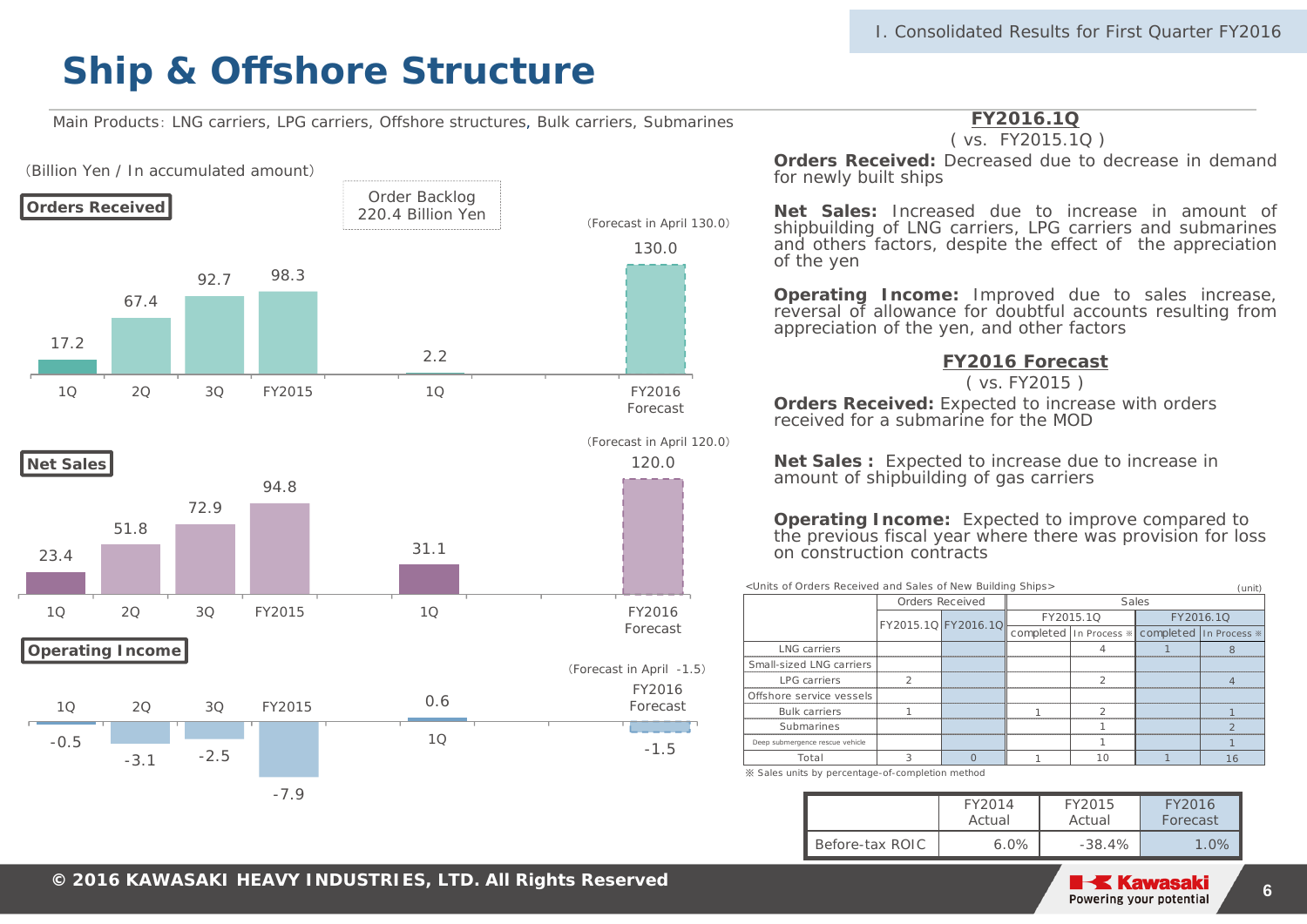Main Products: LNG carriers, LPG carriers, Offshore structures, Bulk carriers, Submarines



#### **FY2016.1Q**

#### ( vs. FY2015.1Q )

**Orders Received:** Decreased due to decrease in demandfor newly built ships

**Net Sales:** Increased due to increase in amount of shipbuilding of LNG carriers, LPG carriers and submarines and others factors, despite the effect of the appreciation of the yen

**Operating Income:** Improved due to sales increase, reversal of allowance for doubtful accounts resulting from appreciation of the yen, and other factors

#### **FY2016 Forecast**

( vs. FY2015 )

**Orders Received:** Expected to increase with orders received for a submarine for the MOD

**Net Sales :** Expected to increase due to increase in amount of shipbuilding of gas carriers

**Operating Income:** Expected to improve compared to the previous fiscal year where there was provision for loss on construction contracts

<Units of Orders Received and Sales of New Building Ships>

|                                 |                     | Orders Received | Sales                                         |           |
|---------------------------------|---------------------|-----------------|-----------------------------------------------|-----------|
|                                 | FY2015.1Q FY2016.1Q |                 | FY2015.1Q                                     | FY2016.1Q |
|                                 |                     |                 | completed In Process * completed In Process * |           |
| <b>LNG</b> carriers             |                     |                 |                                               |           |
| Small-sized LNG carriers        |                     |                 |                                               |           |
| <b>LPG</b> carriers             |                     |                 |                                               |           |
| Offshore service vessels        |                     |                 |                                               |           |
| <b>Bulk carriers</b>            |                     |                 |                                               |           |
| Submarines                      |                     |                 |                                               |           |
| Deep submergence rescue vehicle |                     |                 |                                               |           |
| Total                           |                     |                 | 10                                            |           |

※ Sales units by percentage-of-completion method

|                 | FY2014<br>Actual | FY2015<br>Actual | FY2016<br>Forecast |
|-----------------|------------------|------------------|--------------------|
| Before-tax ROIC | $6.0\%$          | $-38.4\%$        | 1.0%               |

 $(\text{unit})$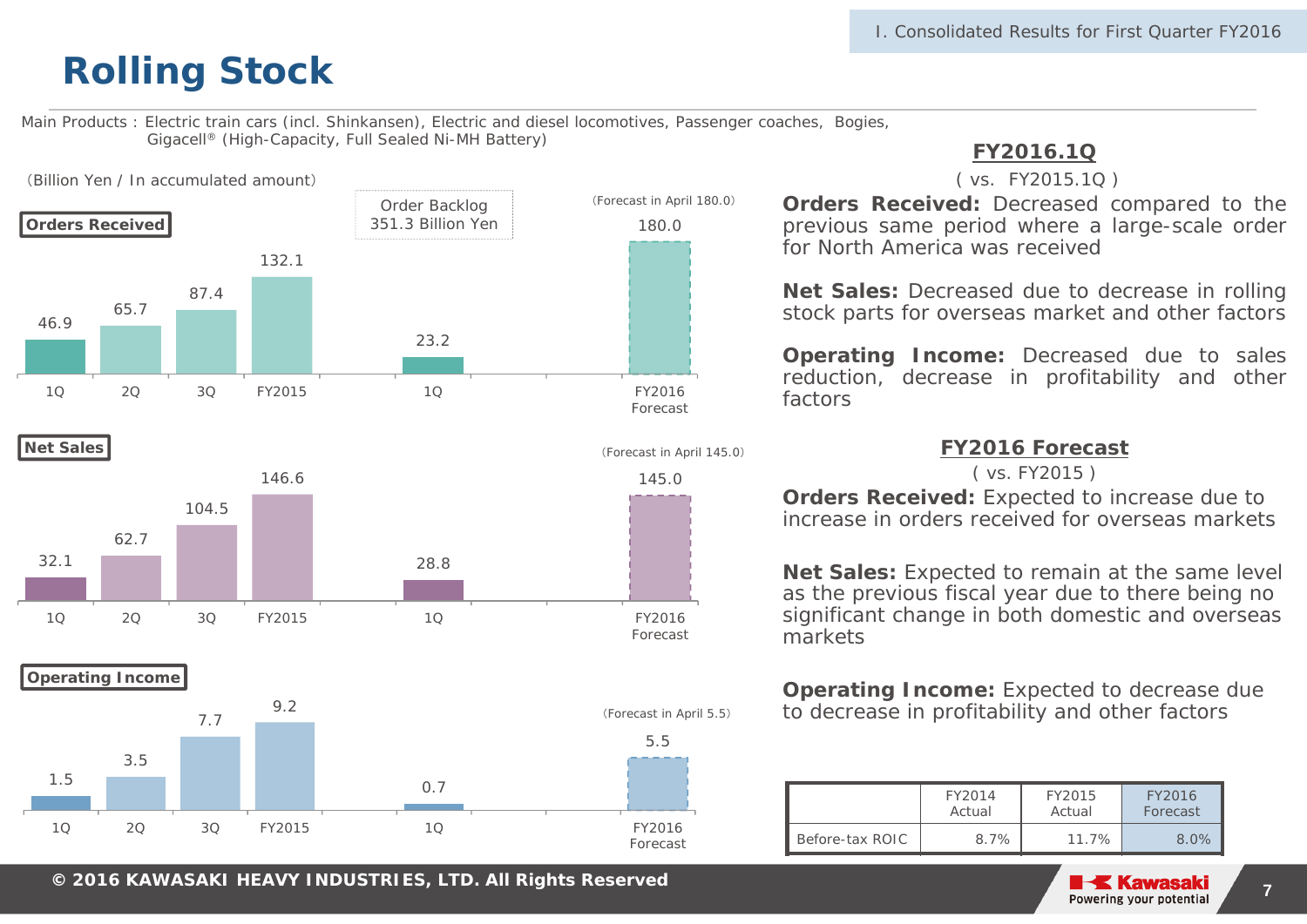Main Products : Electric train cars (incl. Shinkansen), Electric and diesel locomotives, Passenger coaches, Bogies, Gigacell® (High-Capacity, Full Sealed Ni-MH Battery)





**Operating Income**



### **FY2016.1Q**

#### ( vs. FY2015.1Q )

**Orders Received:** Decreased compared to the previous same period where <sup>a</sup> large-scale order for North America was received

**Net Sales:** Decreased due to decrease in rolling stock parts for overseas market and other factors

**Operating Income:** Decreased due to sales reduction, decrease in profitability and other factors

**FY2016 Forecast** 

( vs. FY2015 )

**Orders Received:** Expected to increase due to increase in orders received for overseas markets

**Net Sales:** Expected to remain at the same level as the previous fiscal year due to there being no significant change in both domestic and overseas markets

**Operating Income:** Expected to decrease due to decrease in profitability and other factors

|                 | FY2014 | FY2015   | FY2016   |
|-----------------|--------|----------|----------|
|                 | Actual | Actual   | Forecast |
| Before-tax ROIC | 8.7%   | $11.7\%$ | 8.0%     |

**© 2014 KAWASAKI HEAVY INDUSTRIES, LTD. All Rights Reserved**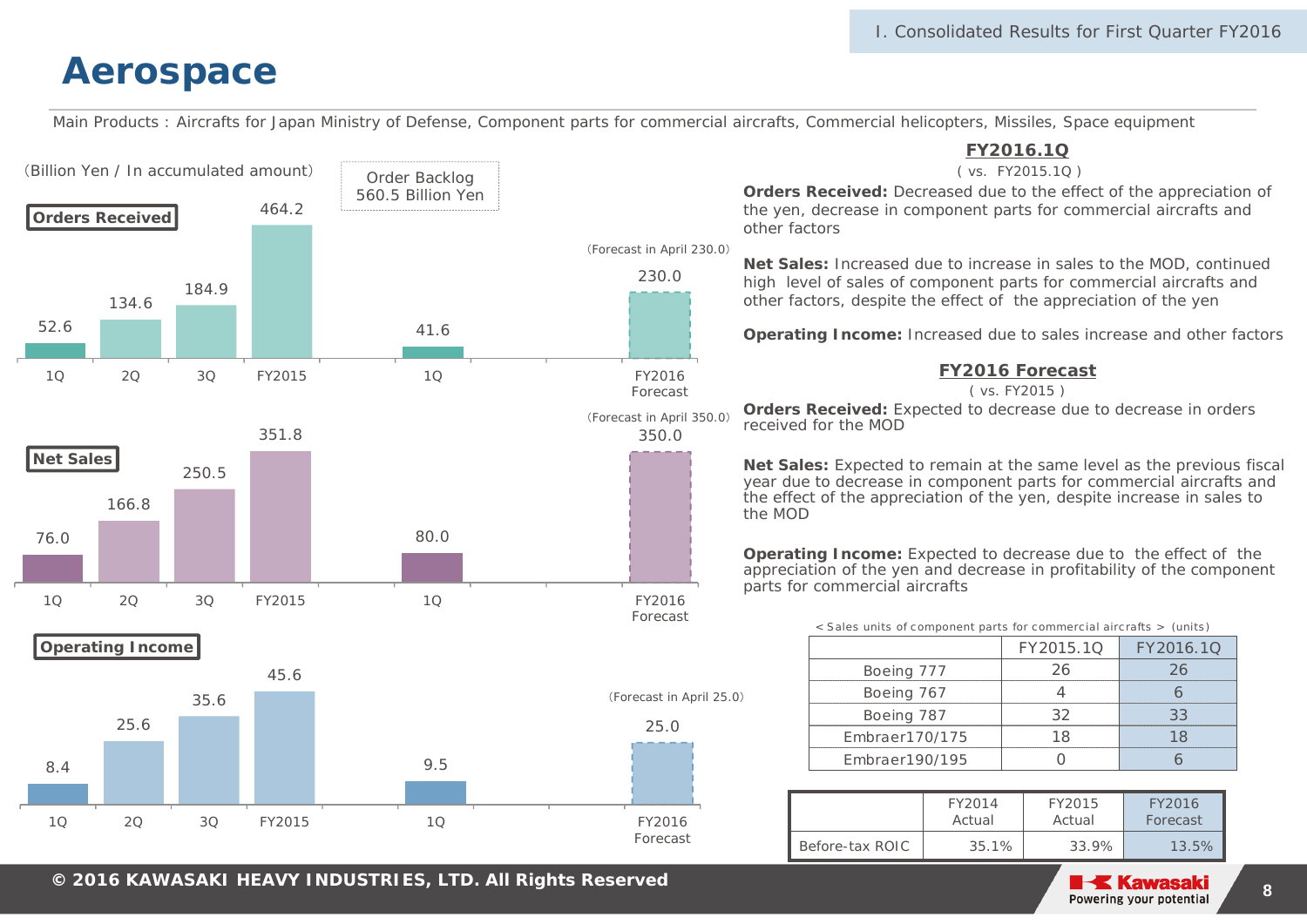Main Products : Aircrafts for Japan Ministry of Defense, Component parts for commercial aircrafts, Commercial helicopters, Missiles, Space equipment



**© 2014 KAWASAKI HEAVY INDUSTRIES, LTD. All Rights Reserved**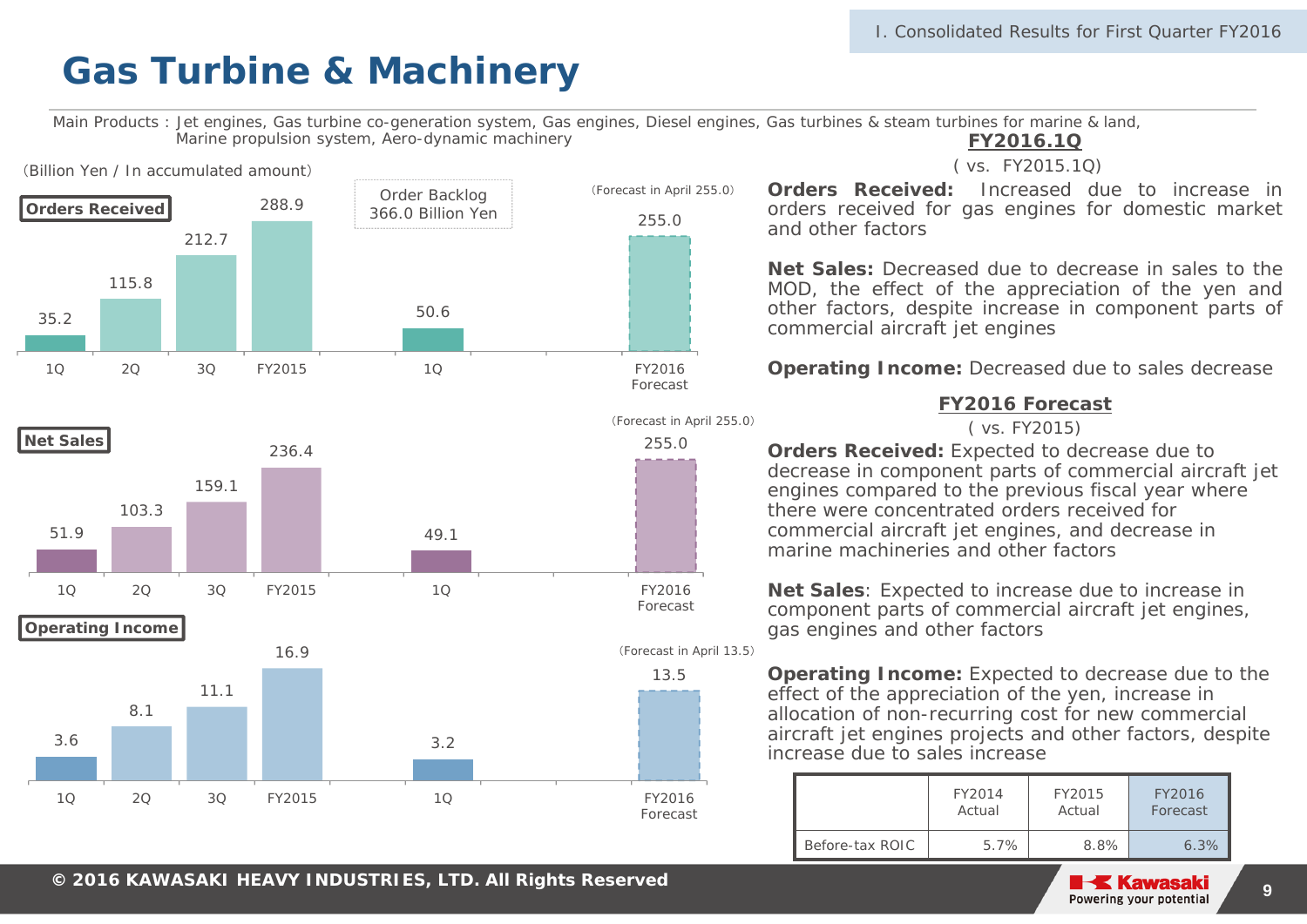Main Products : Jet engines, Gas turbine co-generation system, Gas engines, Diesel engines, Gas turbines & steam turbines for marine & land, Marine propulsion system, Aero-dynamic machinery



**FY2016.1Q**

( vs. FY2015.1Q)

**Orders Received:** Increased due to increase inorders received for gas engines for domestic market and other factors

**Net Sales:** Decreased due to decrease in sales to theMOD, the effect of the appreciation of the yen and other factors, despite increase in component parts of commercial aircraft jet engines

#### **Operating Income:** Decreased due to sales decrease

#### **FY2016 Forecast**

( vs. FY2015)

**Orders Received:** Expected to decrease due to decrease in component parts of commercial aircraft jet engines compared to the previous fiscal year where there were concentrated orders received for commercial aircraft jet engines, and decrease in marine machineries and other factors

**Net Sales**: Expected to increase due to increase in component parts of commercial aircraft jet engines, gas engines and other factors

**Operating Income:** Expected to decrease due to the effect of the appreciation of the yen, increase in allocation of non-recurring cost for new commercial aircraft jet engines projects and other factors, despite increase due to sales increase

|                 | FY2014  | FY2015 | FY2016   |
|-----------------|---------|--------|----------|
|                 | Actual  | Actual | Forecast |
| Before-tax ROIC | $5.7\%$ | 8.8%   | 6.3%     |

**9**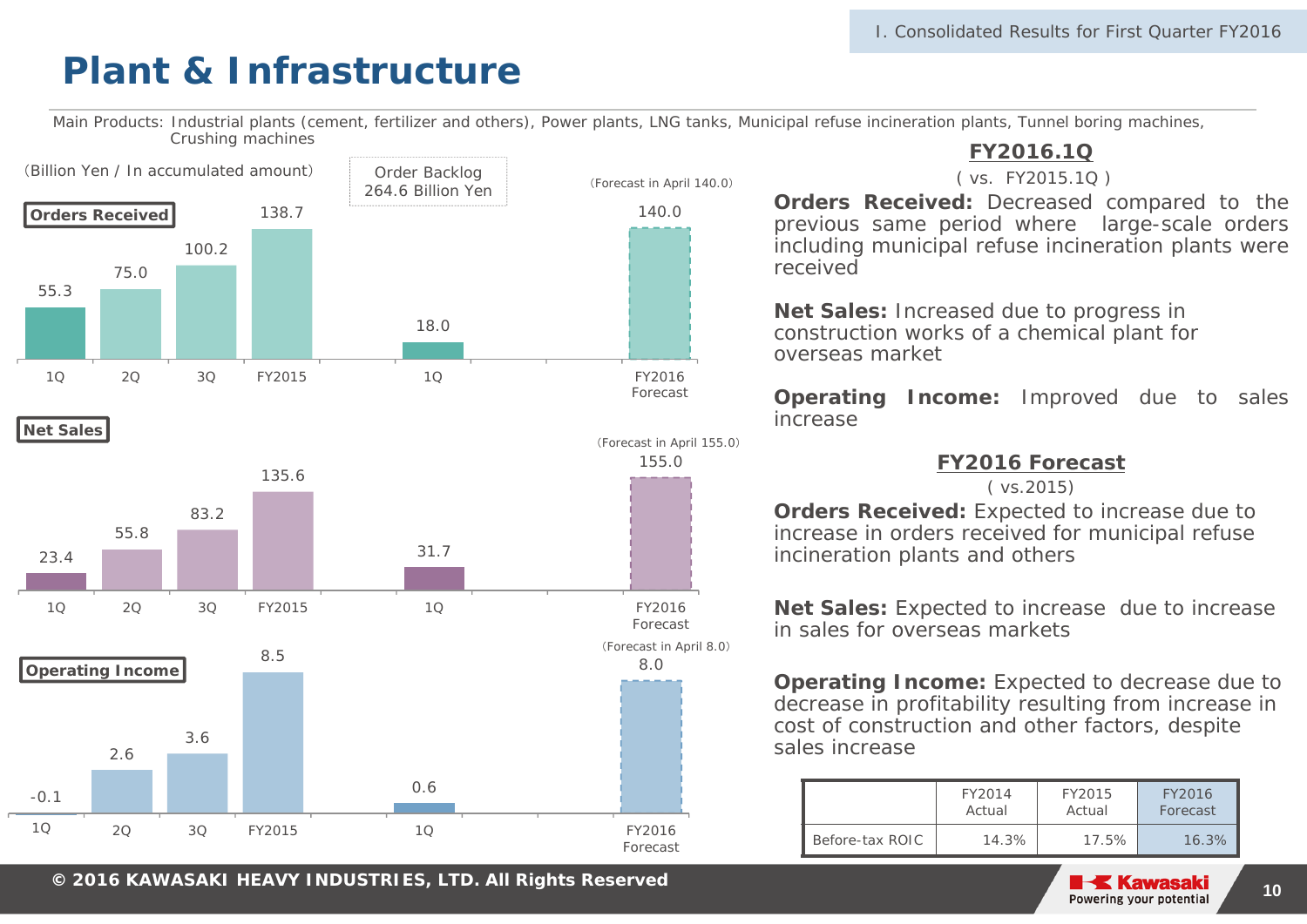## **Plant & Infrastructure**

Main Products: Industrial plants (cement, fertilizer and others), Power plants, LNG tanks, Municipal refuse incineration plants, Tunnel boring machines, Crushing machines

Forecast







### **FY2016.1Q**

#### ( vs. FY2015.1Q )

**Orders Received:** Decreased compared to the previous same period where large-scale orders including municipal refuse incineration plants were received

**Net Sales:** Increased due to progress in construction works of a chemical plant for overseas market

**Operating Income:** Improved due to sales increase

#### **FY2016 Forecast**

( vs.2015)

**Orders Received:** Expected to increase due to increase in orders received for municipal refuse incineration plants and others

**Net Sales:** Expected to increase due to increase in sales for overseas markets

**Operating Income:** Expected to decrease due to decrease in profitability resulting from increase in cost of construction and other factors, despite sales increase

|                 | FY2014 | FY2015   | FY2016   |
|-----------------|--------|----------|----------|
|                 | Actual | Actual   | Forecast |
| Before-tax ROIC | 14.3%  | $17.5\%$ | 16.3%    |

**© 2014 KAWASAKI HEAVY INDUSTRIES, LTD. All Rights Reserved <sup>10</sup> <sup>2016</sup>**

2Q 3Q FY2015 1Q FY2016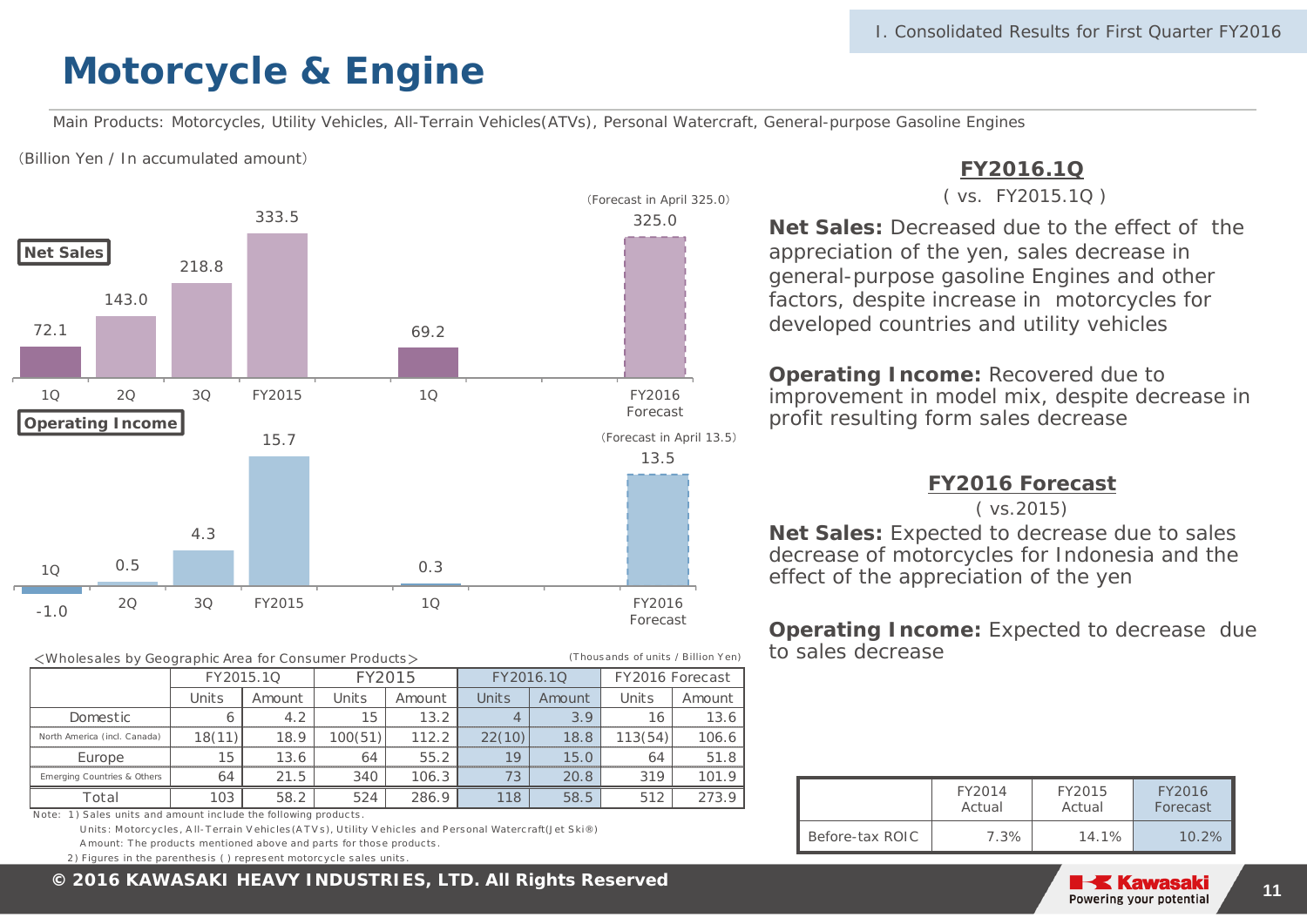### **Motorcycle & Engine**

Main Products: Motorcycles, Utility Vehicles, All-Terrain Vehicles(ATVs), Personal Watercraft, General-purpose Gasoline Engines

(T hous ands of units / Billion Y en)

(Billion Yen / In accumulated amount)



<Wholesales by Geographic Area for Consumer Products >

|                              |        | FY2015.1Q | FY2015  |        |        | FY2016.1Q | FY2016 Forecast |        |  |
|------------------------------|--------|-----------|---------|--------|--------|-----------|-----------------|--------|--|
|                              | Units  | Amount    | Units   | Amount | Units  | Amount    | Units           | Amount |  |
| Domestic                     |        | 4.2       | 15      | 13.2   | 4      | 3.9       | 16              | 13.6   |  |
| North America (incl. Canada) | 18(11) | 18.9      | 100(51) | 112.2  | 22(10) | 18.8      | 113(54)         | 106.6  |  |
| Europe                       | 15     | 13.6      | 64      | 55.2   | 19     | 15.0      | 64              | 51.8   |  |
| Emerging Countries & Others  | 64     | 21.5      | 340     | 106.3  | 73     | 20.8      | 319             | 101.9  |  |
| Total                        | 103    | 58.2      | 524     | 286.9  | 118    | 58.5      | 512             | 273.9  |  |

Note: 1) Sales units and amount include the following products

Units: Motorcycles, All-Terrain Vehicles (ATVs), Utility Vehicles and Personal Watercraft (Jet Ski®) A mount: The products mentioned above and parts for those products

2) Figures in the parenthesis ( ) represent motorcycle sales units

### **FY2016.1Q**

#### ( vs. FY2015.1Q )

**Net Sales:** Decreased due to the effect of the appreciation of the yen, sales decrease in general-purpose gasoline Engines and other factors, despite increase in motorcycles for developed countries and utility vehicles

**Operating Income:** Recovered due to improvement in model mix, despite decrease in profit resulting form sales decrease

#### **FY2016 Forecast**

#### ( vs.2015)

**Net Sales:** Expected to decrease due to sales decrease of motorcycles for Indonesia and the effect of the appreciation of the yen

**Operating Income:** Expected to decrease due to sales decrease

|                 | FY2014 | FY2015 | FY2016   |
|-----------------|--------|--------|----------|
|                 | Actual | Actual | Forecast |
| Before-tax ROIC | 7.3%   | 14.1%  | $10.2\%$ |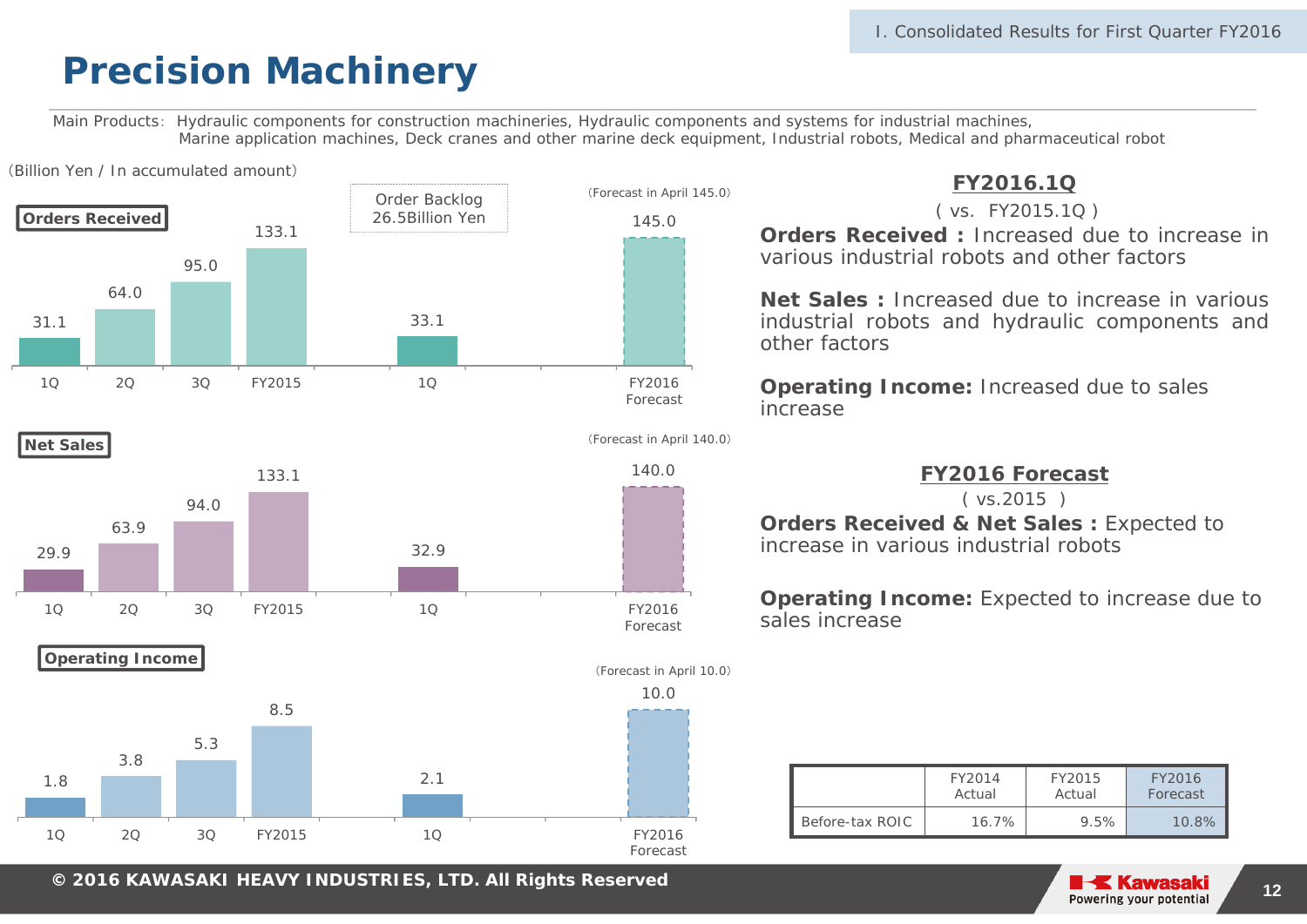### **Precision Machinery**

Main Products: Hydraulic components for construction machineries, Hydraulic components and systems for industrial machines, Marine application machines, Deck cranes and other marine deck equipment, Industrial robots, Medical and pharmaceutical robot



**© 2014 KAWASAKI HEAVY INDUSTRIES, LTD. All Rights Reserved <sup>12</sup> <sup>2016</sup>**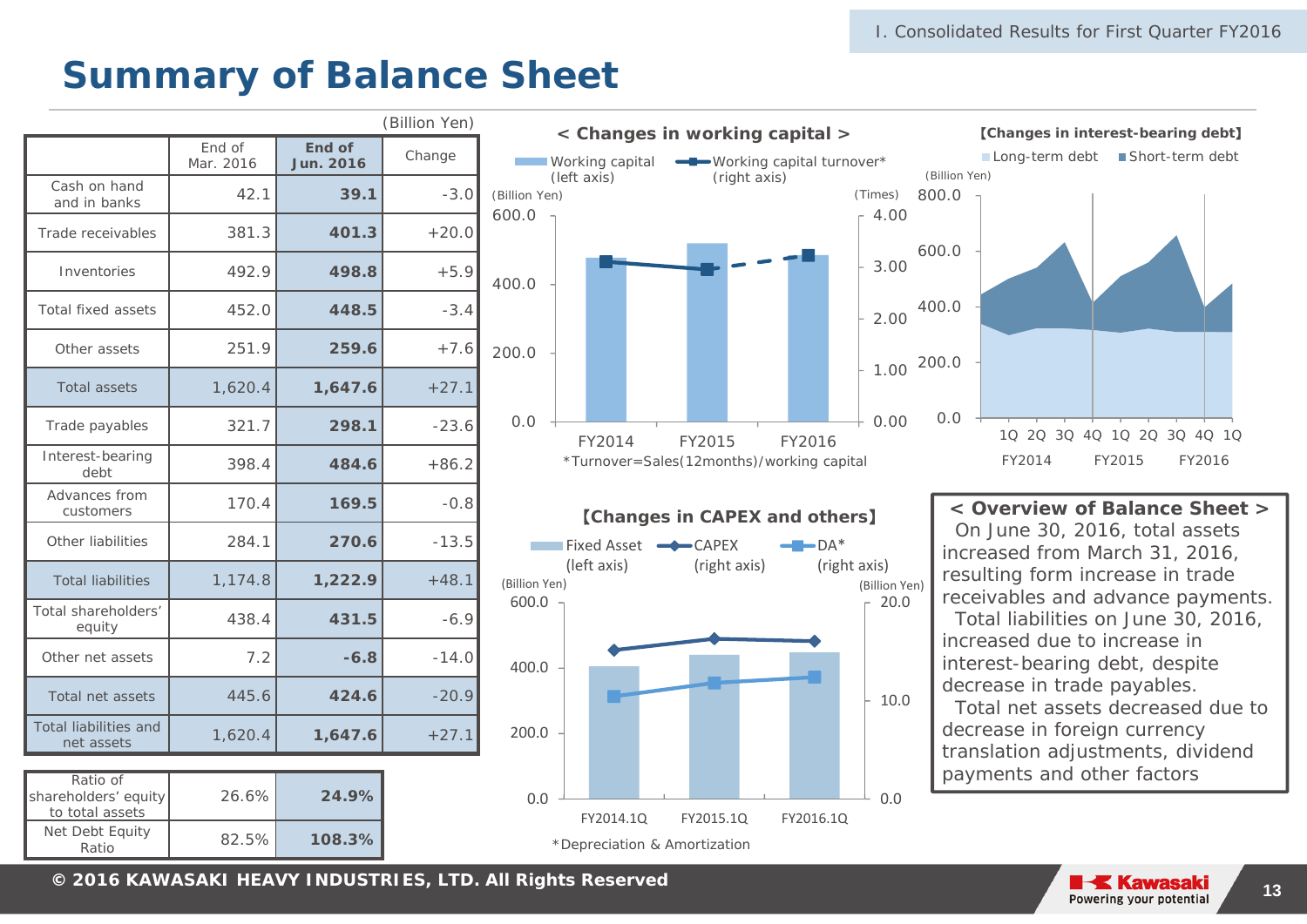### **Summary of Balance Sheet**

|                                            |                     |                            | (Billion Yen) |
|--------------------------------------------|---------------------|----------------------------|---------------|
|                                            | End of<br>Mar. 2016 | End of<br><b>Jun. 2016</b> | Change        |
| Cash on hand<br>and in banks               | 42.1                | 39.1                       | $-3.0$        |
| Trade receivables                          | 381.3               | 401.3                      | $+20.0$       |
| Inventories                                | 492.9               | 498.8                      | $+5.9$        |
| <b>Total fixed assets</b>                  | 452.0               | 448.5                      | $-3.4$        |
| Other assets                               | 251.9               | 259.6                      | $+7.6$        |
| <b>Total assets</b>                        | 1,620.4             | 1,647.6                    | $+27.1$       |
| Trade payables                             | 321.7               | 298.1                      | $-23.6$       |
| Interest-bearing<br>debt                   | 398.4               | 484.6                      | $+86.2$       |
| Advances from<br>customers                 | 170.4               | 169.5                      | $-0.8$        |
| Other liabilities                          | 284.1               | 270.6                      | $-13.5$       |
| <b>Total liabilities</b>                   | 1,174.8             | 1,222.9                    | $+48.1$       |
| Total shareholders'<br>equity              | 438.4               | 431.5                      | $-6.9$        |
| Other net assets                           | 7.2                 | $-6.8$                     | $-14.0$       |
| Total net assets                           | 445.6               | 424.6                      | $-20.9$       |
| <b>Total liabilities and</b><br>net assets | 1,620.4             | 1,647.6                    | $+27.1$       |

| Ratio of<br>shareholders' equity<br>to total assets | 26.6% | 24.9%  |  |
|-----------------------------------------------------|-------|--------|--|
| Net Debt Equity<br>Ratio                            | 82.5% | 108.3% |  |





### 【**Changes in CAPEX and others**】



**< Overview of Balance Sheet <sup>&</sup>gt;**On June 30, 2016, total assets increased from March 31, 2016, resulting form increase in trade receivables and advance payments. Total liabilities on June 30, 2016, increased due to increase in interest-bearing debt, despite decrease in trade payables. Total net assets decreased due to decrease in foreign currency translation adjustments, dividend payments and other factors

**© 2014 KAWASAKI HEAVY INDUSTRIES, LTD. All Rights Reserved <sup>13</sup> <sup>2016</sup>**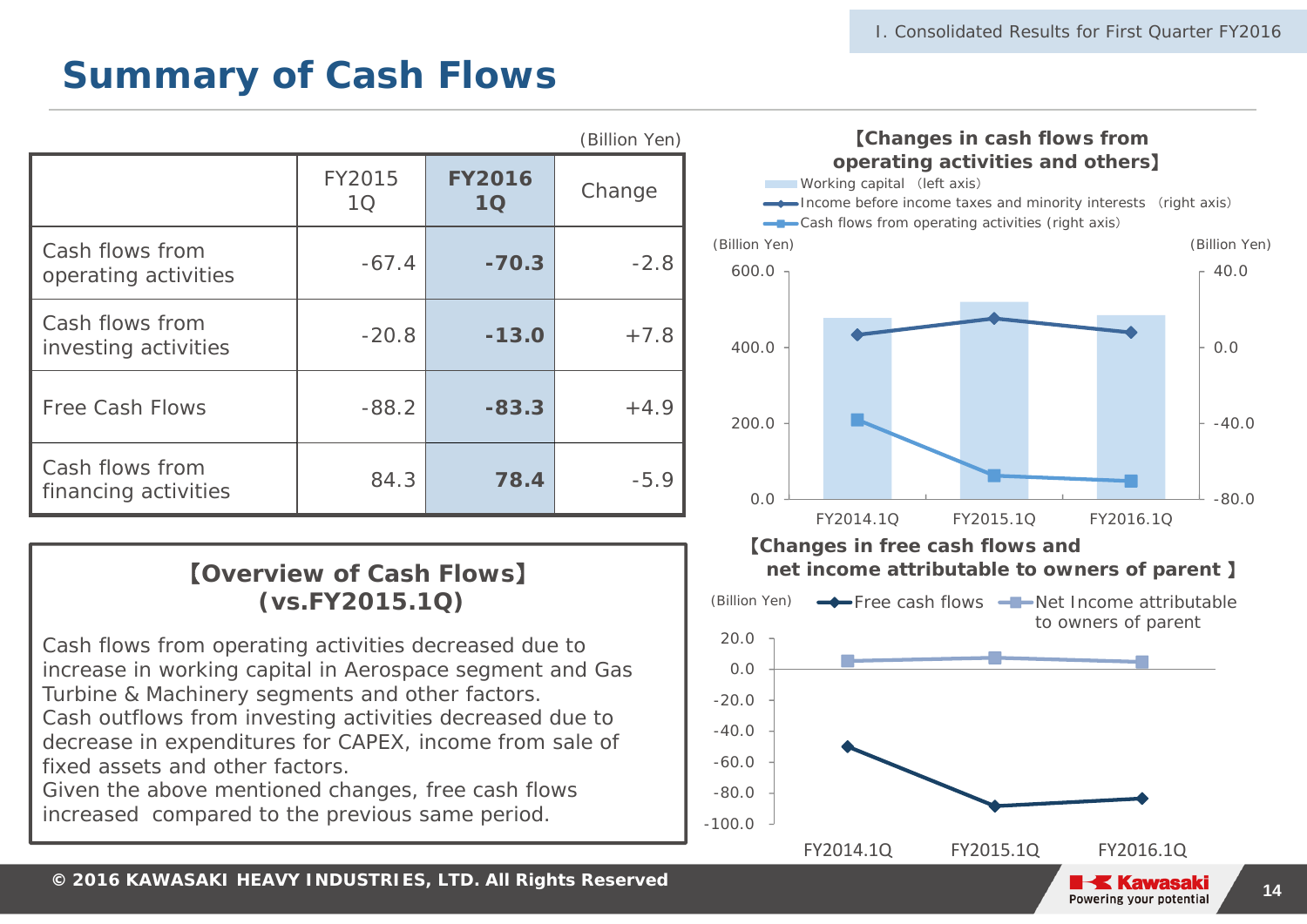### **Summary of Cash Flows**

|                                         |              |                     | (Billion Yen) |
|-----------------------------------------|--------------|---------------------|---------------|
|                                         | FY2015<br>10 | <b>FY2016</b><br>1Q | Change        |
| Cash flows from<br>operating activities | $-67.4$      | $-70.3$             | $-2.8$        |
| Cash flows from<br>investing activities | $-20.8$      | $-13.0$             | $+7.8$        |
| <b>Free Cash Flows</b>                  | $-88.2$      | $-83.3$             | $+4.9$        |
| Cash flows from<br>financing activities | 84.3         | 78.4                | $-5.9$        |

### 【**Overview of Cash Flows** 】 **(vs.FY2015.1Q)**

Cash flows from operating activities decreased due to increase in working capital in Aerospace segment and Gas Turbine & Machinery segments and other factors.

Cash outflows from investing activities decreased due to decrease in expenditures for CAPEX, income from sale of fixed assets and other factors.

Given the above mentioned changes, free cash flows increased compared to the previous same period.

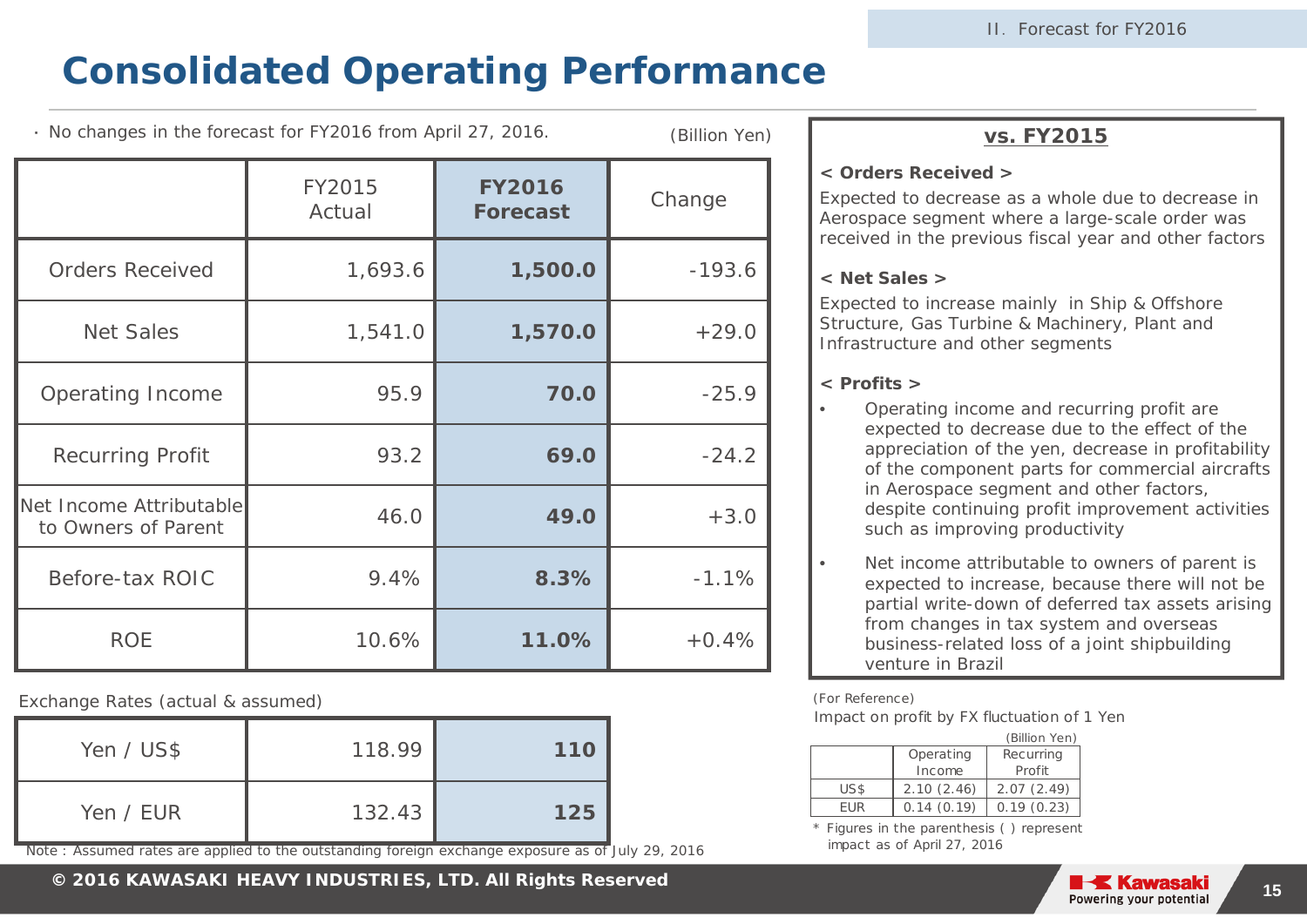### **Consolidated Operating Performance**

・ No changes in the forecast for FY2016 from April 27, 2016.

(Billion Yen)

|                                                | FY2015<br>Actual | <b>FY2016</b><br><b>Forecast</b> | Change   |
|------------------------------------------------|------------------|----------------------------------|----------|
| <b>Orders Received</b>                         | 1,693.6          | 1,500.0                          | $-193.6$ |
| <b>Net Sales</b>                               | 1,541.0          | 1,570.0                          | $+29.0$  |
| <b>Operating Income</b>                        | 95.9             | 70.0                             | $-25.9$  |
| <b>Recurring Profit</b>                        | 93.2             | 69.0                             | $-24.2$  |
| Net Income Attributable<br>to Owners of Parent | 46.0             | 49.0                             | $+3.0$   |
| Before-tax ROIC                                | 9.4%             | 8.3%                             | $-1.1%$  |
| <b>ROE</b>                                     | 10.6%            | 11.0%                            | $+0.4%$  |

Exchange Rates (actual & assumed)

| Yen / US\$ | 118.99 | 110 |  |
|------------|--------|-----|--|
| Yen / EUR  | 132.43 | 125 |  |

Note : Assumed rates are applied to the outstanding foreign exchange exposure as of July 29, 2016

**vs. FY2015**

#### **< Orders Received >**

Expected to decrease as a whole due to decrease in Aerospace segment where a large-scale order was received in the previous fiscal year and other factors

#### **< Net Sales >**

Expected to increase mainly in Ship & Offshore Structure, Gas Turbine & Machinery, Plant and Infrastructure and other segments

#### **< Profits >**

- • Operating income and recurring profit are expected to decrease due to the effect of the appreciation of the yen, decrease in profitability of the component parts for commercial aircrafts in Aerospace segment and other factors, despite continuing profit improvement activities such as improving productivity
	- Net income attributable to owners of parent is expected to increase, because there will not be partial write-down of deferred tax assets arising from changes in tax system and overseas business-related loss of a joint shipbuilding venture in Brazil

(For Reference)

•

Impact on profit by FX fluctuation of 1 Yen

|        | (Billion Yen) |                  |
|--------|---------------|------------------|
|        | Operating     | <b>Recurring</b> |
|        | Income        | Profit           |
| US\$   | 2.10(2.46)    | 2.07(2.49)       |
| FI IR. | 0.14(0.19)    | 0.19(0.23)       |

\* Figures in the parenthesis ( ) represent impact as of April 27, 2016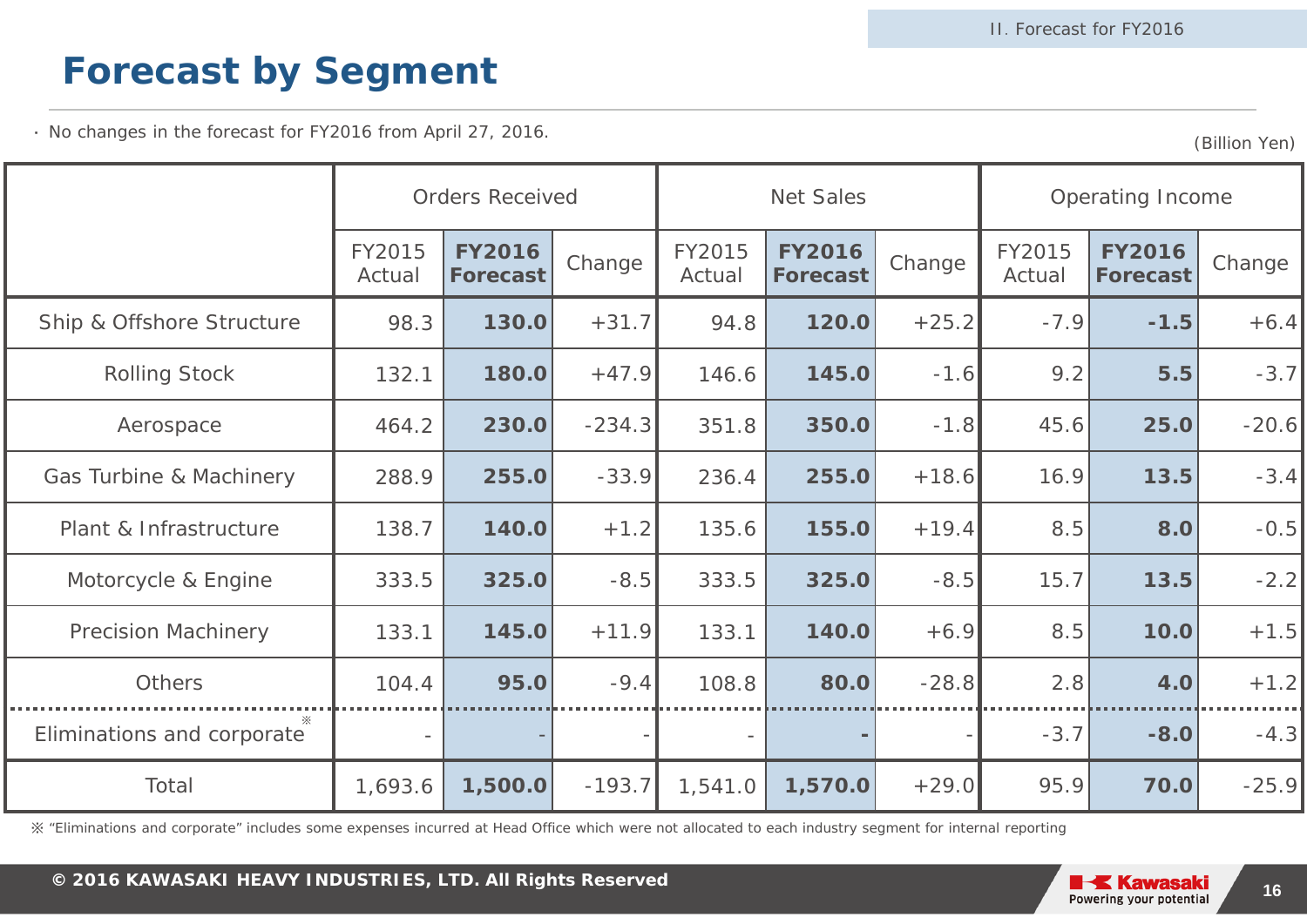## **Forecast by Segment**

・ No changes in the forecast for FY2016 from April 27, 2016.

(Billion Yen)

|                            | <b>Orders Received</b>   |                                  | <b>Net Sales</b> |                  |                                  | Operating Income |                  |                                  |         |
|----------------------------|--------------------------|----------------------------------|------------------|------------------|----------------------------------|------------------|------------------|----------------------------------|---------|
|                            | FY2015<br>Actual         | <b>FY2016</b><br><b>Forecast</b> | Change           | FY2015<br>Actual | <b>FY2016</b><br><b>Forecast</b> | Change           | FY2015<br>Actual | <b>FY2016</b><br><b>Forecast</b> | Change  |
| Ship & Offshore Structure  | 98.3                     | 130.0                            | $+31.7$          | 94.8             | 120.0                            | $+25.2$          | $-7.9$           | $-1.5$                           | $+6.4$  |
| <b>Rolling Stock</b>       | 132.1                    | 180.0                            | $+47.9$          | 146.6            | 145.0                            | $-1.6$           | 9.2              | 5.5                              | $-3.7$  |
| Aerospace                  | 464.2                    | 230.0                            | $-234.3$         | 351.8            | 350.0                            | $-1.8$           | 45.6             | 25.0                             | $-20.6$ |
| Gas Turbine & Machinery    | 288.9                    | 255.0                            | $-33.9$          | 236.4            | 255.0                            | $+18.6$          | 16.9             | 13.5                             | $-3.4$  |
| Plant & Infrastructure     | 138.7                    | 140.0                            | $+1.2$           | 135.6            | 155.0                            | $+19.4$          | 8.5              | 8.0                              | $-0.5$  |
| Motorcycle & Engine        | 333.5                    | 325.0                            | $-8.5$           | 333.5            | 325.0                            | $-8.5$           | 15.7             | 13.5                             | $-2.2$  |
| <b>Precision Machinery</b> | 133.1                    | 145.0                            | $+11.9$          | 133.1            | 140.0                            | $+6.9$           | 8.5              | 10.0                             | $+1.5$  |
| Others                     | 104.4                    | 95.0                             | $-9.4$           | 108.8            | 80.0                             | $-28.8$          | 2.8              | <b>4.0</b>                       | $+1.2$  |
| Eliminations and corporate | $\overline{\phantom{a}}$ |                                  |                  |                  |                                  |                  | $-3.7$           | $-8.0$                           | $-4.3$  |
| Total                      | 1,693.6                  | 1,500.0                          | $-193.7$         | 1,541.0          | 1,570.0                          | $+29.0$          | 95.9             | 70.0                             | $-25.9$ |

※ "Eliminations and corporate" includes some expenses incurred at Head Office which were not allocated to each industry segment for internal reporting

**© 2014 KAWASAKI HEAVY INDUSTRIES, LTD. All Rights Reserved <sup>16</sup> <sup>2016</sup>**

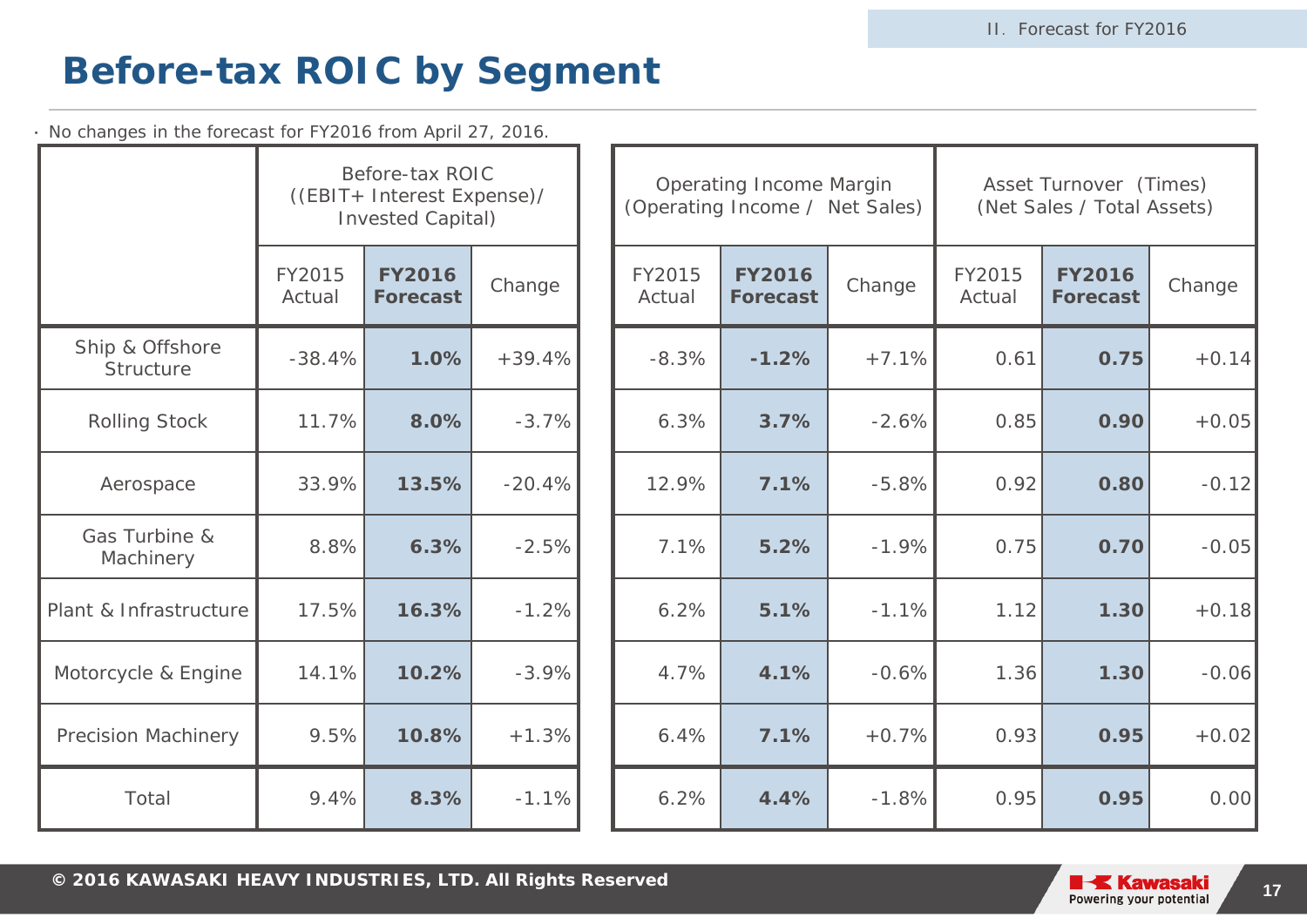### **Before-tax ROIC by Segment**

・ No changes in the forecast for FY2016 from April 27, 2016.

|                              |                  | Before-tax ROIC<br>((EBIT+ Interest Expense)/<br><b>Invested Capital)</b> |          | <b>Operating Income Margin</b><br>(Operating Income / Net Sales) |                                  |         | Asset Turnover (Times)<br>(Net Sales / Total Assets) |                                  |         |
|------------------------------|------------------|---------------------------------------------------------------------------|----------|------------------------------------------------------------------|----------------------------------|---------|------------------------------------------------------|----------------------------------|---------|
|                              | FY2015<br>Actual | <b>FY2016</b><br><b>Forecast</b>                                          | Change   | FY2015<br>Actual                                                 | <b>FY2016</b><br><b>Forecast</b> | Change  | FY2015<br>Actual                                     | <b>FY2016</b><br><b>Forecast</b> | Change  |
| Ship & Offshore<br>Structure | $-38.4%$         | 1.0%                                                                      | $+39.4%$ | $-8.3%$                                                          | $-1.2%$                          | $+7.1%$ | 0.61                                                 | 0.75                             | $+0.14$ |
| <b>Rolling Stock</b>         | 11.7%            | 8.0%                                                                      | $-3.7%$  | 6.3%                                                             | 3.7%                             | $-2.6%$ | 0.85                                                 | 0.90                             | $+0.05$ |
| Aerospace                    | 33.9%            | 13.5%                                                                     | $-20.4%$ | 12.9%                                                            | 7.1%                             | $-5.8%$ | 0.92                                                 | 0.80                             | $-0.12$ |
| Gas Turbine &<br>Machinery   | 8.8%             | 6.3%                                                                      | $-2.5%$  | 7.1%                                                             | 5.2%                             | $-1.9%$ | 0.75                                                 | 0.70                             | $-0.05$ |
| Plant & Infrastructure       | 17.5%            | 16.3%                                                                     | $-1.2%$  | 6.2%                                                             | 5.1%                             | $-1.1%$ | 1.12                                                 | 1.30                             | $+0.18$ |
| Motorcycle & Engine          | 14.1%            | 10.2%                                                                     | $-3.9%$  | 4.7%                                                             | 4.1%                             | $-0.6%$ | 1.36                                                 | 1.30                             | $-0.06$ |
| <b>Precision Machinery</b>   | 9.5%             | 10.8%                                                                     | $+1.3%$  | 6.4%                                                             | 7.1%                             | $+0.7%$ | 0.93                                                 | 0.95                             | $+0.02$ |
| Total                        | 9.4%             | 8.3%                                                                      | $-1.1%$  | 6.2%                                                             | 4.4%                             | $-1.8%$ | 0.95                                                 | 0.95                             | 0.00    |

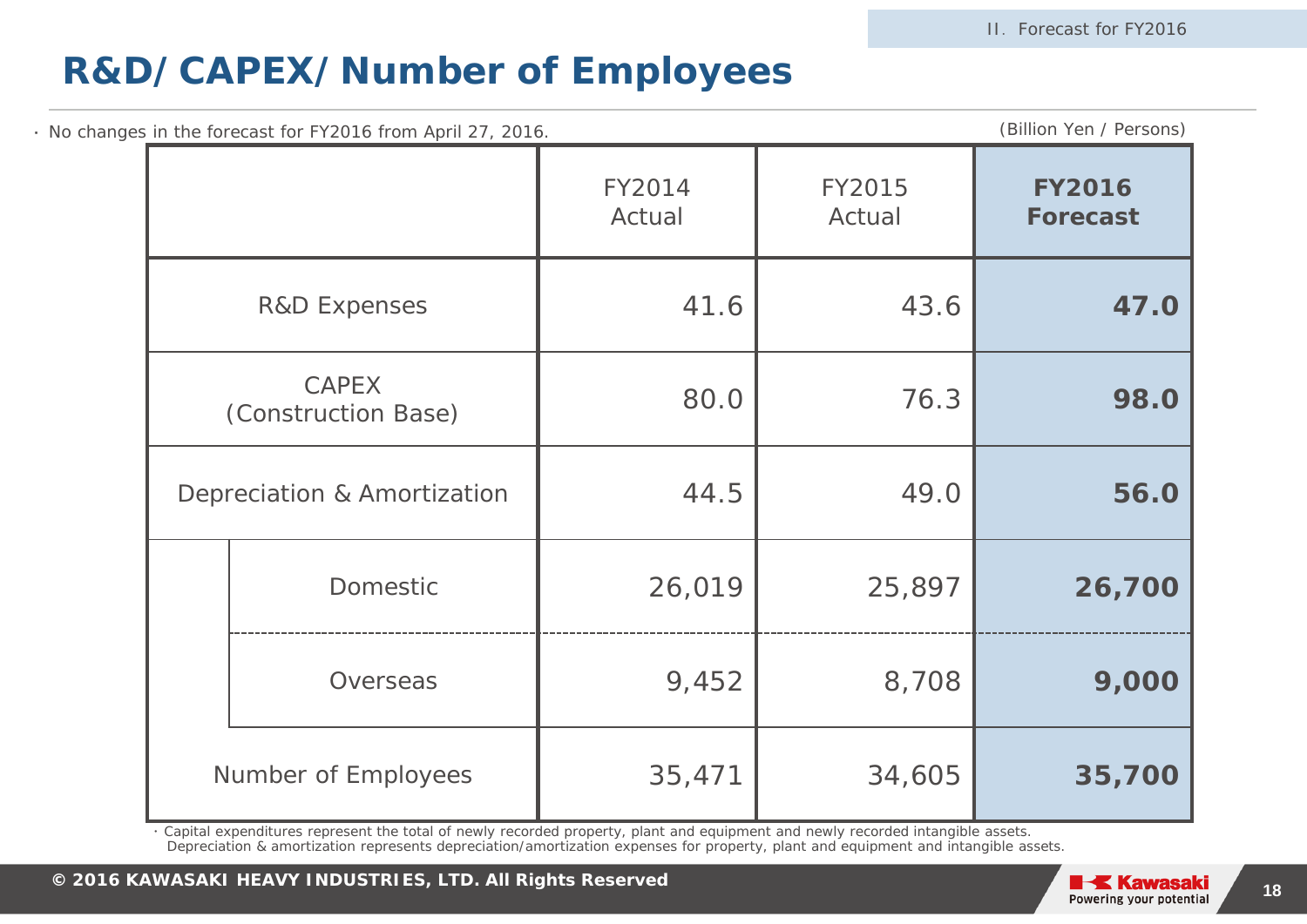### **R&D/CAPEX/Number of Employees**

| No changes in the forecast for FY2016 from April 27, 2016. |                  |                  |                                  |  |  |
|------------------------------------------------------------|------------------|------------------|----------------------------------|--|--|
|                                                            | FY2014<br>Actual | FY2015<br>Actual | <b>FY2016</b><br><b>Forecast</b> |  |  |
| <b>R&amp;D Expenses</b>                                    | 41.6             | 43.6             | 47.0                             |  |  |
| <b>CAPEX</b><br>(Construction Base)                        | 80.0             | 76.3             | 98.0                             |  |  |
| Depreciation & Amortization                                | 44.5             | 49.0             | 56.0                             |  |  |
| <b>Domestic</b>                                            | 26,019           | 25,897           | 26,700                           |  |  |
| Overseas                                                   | 9,452            | 8,708            | 9,000                            |  |  |
| Number of Employees                                        | 35,471           | 34,605           | 35,700                           |  |  |

・ Capital expenditures represent the total of newly recorded property, plant and equipment and newly recorded intangible assets. Depreciation & amortization represents depreciation/amortization expenses for property, plant and equipment and intangible assets.

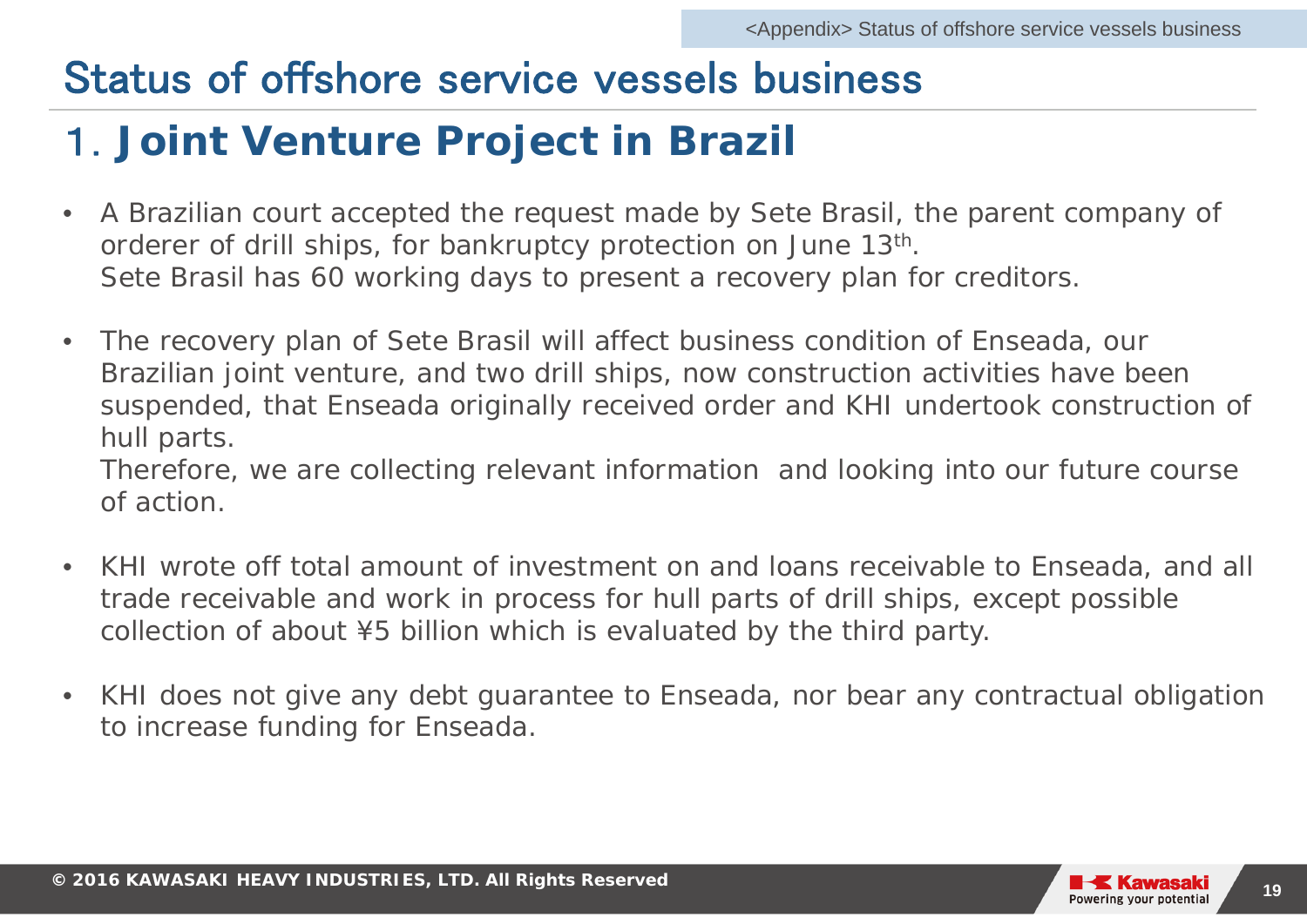## Status of offshore service vessels business

## 1.**Joint Venture Project in Brazil**

- • A Brazilian court accepted the request made by Sete Brasil, the parent company of orderer of drill ships, for bankruptcy protection on June 13<sup>th</sup>. Sete Brasil has 60 working days to present a recovery plan for creditors.
- $\bullet$  The recovery plan of Sete Brasil will affect business condition of Enseada, our Brazilian joint venture, and two drill ships, now construction activities have been suspended, that Enseada originally received order and KHI undertook construction of hull parts.

 Therefore, we are collecting relevant information and looking into our future course of action.

- • KHI wrote off total amount of investment on and loans receivable to Enseada, and all trade receivable and work in process for hull parts of drill ships, except possible collection of about ¥5 billion which is evaluated by the third party.
- • KHI does not give any debt guarantee to Enseada, nor bear any contractual obligation to increase funding for Enseada.

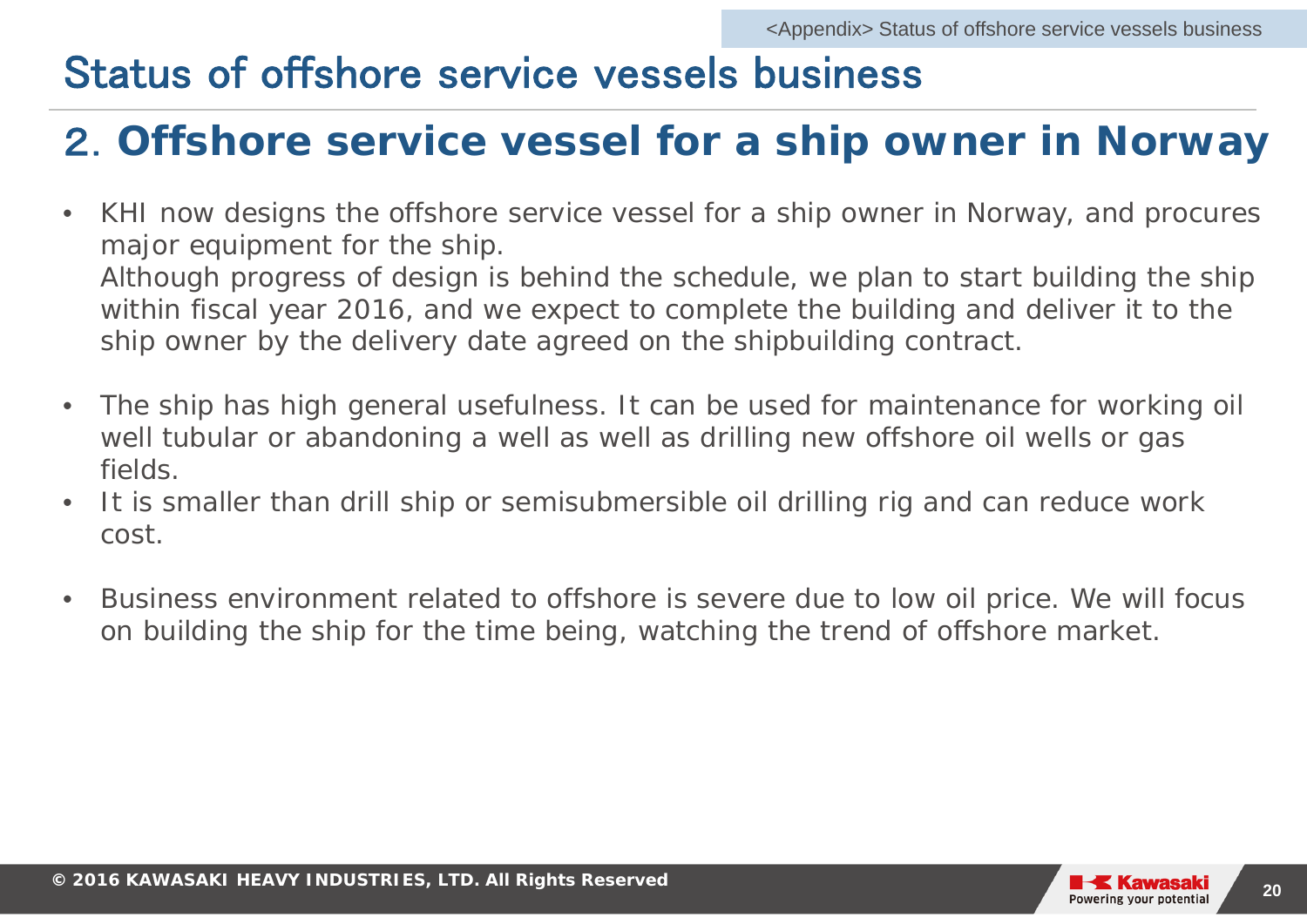## Status of offshore service vessels business

## 2.**Offshore service vessel for a ship owner in Norway**

- • KHI now designs the offshore service vessel for a ship owner in Norway, and procures major equipment for the ship. Although progress of design is behind the schedule, we plan to start building the ship within fiscal year 2016, and we expect to complete the building and deliver it to the ship owner by the delivery date agreed on the shipbuilding contract.
- • The ship has high general usefulness. It can be used for maintenance for working oil well tubular or abandoning a well as well as drilling new offshore oil wells or gas fields.
- $\bullet$  It is smaller than drill ship or semisubmersible oil drilling rig and can reduce work cost.
- $\bullet$  Business environment related to offshore is severe due to low oil price. We will focus on building the ship for the time being, watching the trend of offshore market.

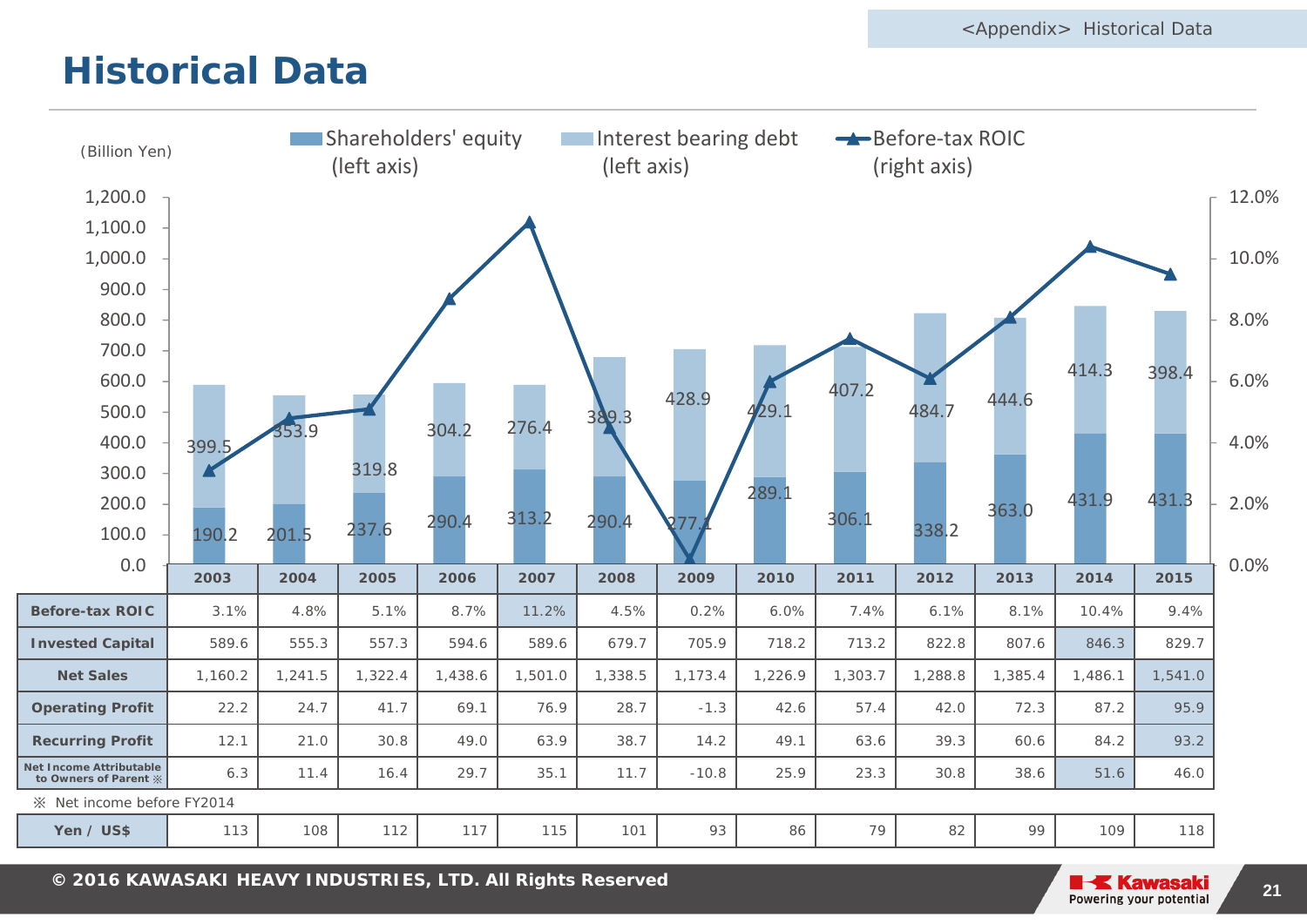### **Historical Data**



**© 2014 KAWASAKI HEAVY INDUSTRIES, LTD. All Rights Reserved <sup>21</sup> <sup>2016</sup>**